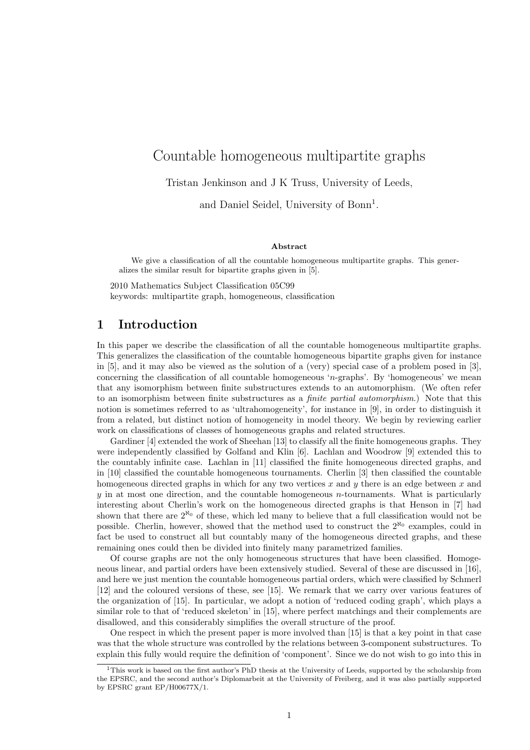# Countable homogeneous multipartite graphs

Tristan Jenkinson and J K Truss, University of Leeds,

and Daniel Seidel, University of Bonn<sup>1</sup>.

#### Abstract

We give a classification of all the countable homogeneous multipartite graphs. This generalizes the similar result for bipartite graphs given in [5].

2010 Mathematics Subject Classification 05C99 keywords: multipartite graph, homogeneous, classification

### 1 Introduction

In this paper we describe the classification of all the countable homogeneous multipartite graphs. This generalizes the classification of the countable homogeneous bipartite graphs given for instance in [5], and it may also be viewed as the solution of a (very) special case of a problem posed in [3], concerning the classification of all countable homogeneous 'n-graphs'. By 'homogeneous' we mean that any isomorphism between finite substructures extends to an automorphism. (We often refer to an isomorphism between finite substructures as a *finite partial automorphism*.) Note that this notion is sometimes referred to as 'ultrahomogeneity', for instance in [9], in order to distinguish it from a related, but distinct notion of homogeneity in model theory. We begin by reviewing earlier work on classifications of classes of homogeneous graphs and related structures.

Gardiner [4] extended the work of Sheehan [13] to classify all the finite homogeneous graphs. They were independently classified by Golfand and Klin [6]. Lachlan and Woodrow [9] extended this to the countably infinite case. Lachlan in [11] classified the finite homogeneous directed graphs, and in [10] classified the countable homogeneous tournaments. Cherlin [3] then classified the countable homogeneous directed graphs in which for any two vertices x and y there is an edge between x and  $y$  in at most one direction, and the countable homogeneous *n*-tournaments. What is particularly interesting about Cherlin's work on the homogeneous directed graphs is that Henson in [7] had shown that there are  $2^{\aleph_0}$  of these, which led many to believe that a full classification would not be possible. Cherlin, however, showed that the method used to construct the  $2^{\aleph_0}$  examples, could in fact be used to construct all but countably many of the homogeneous directed graphs, and these remaining ones could then be divided into finitely many parametrized families.

Of course graphs are not the only homogeneous structures that have been classified. Homogeneous linear, and partial orders have been extensively studied. Several of these are discussed in [16], and here we just mention the countable homogeneous partial orders, which were classified by Schmerl [12] and the coloured versions of these, see [15]. We remark that we carry over various features of the organization of [15]. In particular, we adopt a notion of 'reduced coding graph', which plays a similar role to that of 'reduced skeleton' in [15], where perfect matchings and their complements are disallowed, and this considerably simplifies the overall structure of the proof.

One respect in which the present paper is more involved than [15] is that a key point in that case was that the whole structure was controlled by the relations between 3-component substructures. To explain this fully would require the definition of 'component'. Since we do not wish to go into this in

<sup>1</sup>This work is based on the first author's PhD thesis at the University of Leeds, supported by the scholarship from the EPSRC, and the second author's Diplomarbeit at the University of Freiberg, and it was also partially supported by EPSRC grant EP/H00677X/1.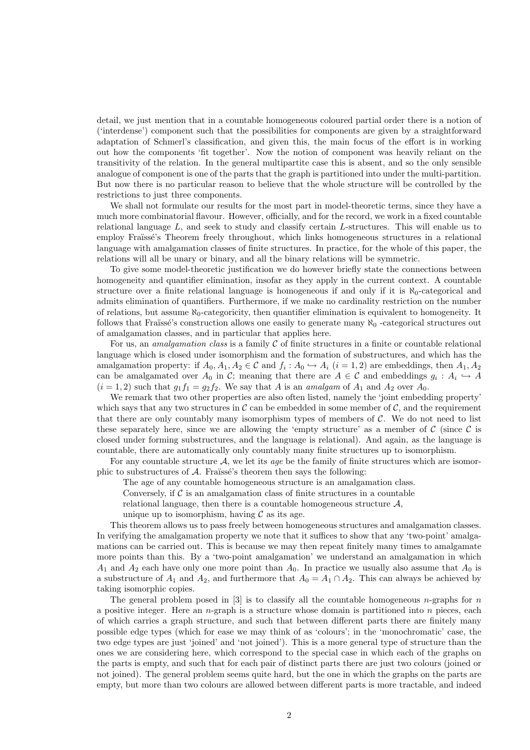detail, we just mention that in a countable homogeneous coloured partial order there is a notion of ('interdense') component such that the possibilities for components are given by a straightforward adaptation of Schmerl's classification, and given this, the main focus of the effort is in working out how the components 'fit together'. Now the notion of component was heavily reliant on the transitivity of the relation. In the general multipartite case this is absent, and so the only sensible analogue of component is one of the parts that the graph is partitioned into under the multi-partition. But now there is no particular reason to believe that the whole structure will be controlled by the restrictions to just three components.

We shall not formulate our results for the most part in model-theoretic terms, since they have a much more combinatorial flavour. However, officially, and for the record, we work in a fixed countable relational language L, and seek to study and classify certain L-structures. This will enable us to employ Fraïssé's Theorem freely throughout, which links homogeneous structures in a relational language with amalgamation classes of finite structures. In practice, for the whole of this paper, the relations will all be unary or binary, and all the binary relations will be symmetric.

To give some model-theoretic justification we do however briefly state the connections between homogeneity and quantifier elimination, insofar as they apply in the current context. A countable structure over a finite relational language is homogeneous if and only if it is  $\aleph_0$ -categorical and admits elimination of quantifiers. Furthermore, if we make no cardinality restriction on the number of relations, but assume  $\aleph_0$ -categoricity, then quantifier elimination is equivalent to homogeneity. It follows that Fraïssé's construction allows one easily to generate many  $\aleph_0$  -categorical structures out of amalgamation classes, and in particular that applies here.

For us, an *amalgamation class* is a family  $\mathcal C$  of finite structures in a finite or countable relational language which is closed under isomorphism and the formation of substructures, and which has the amalgamation property: if  $A_0, A_1, A_2 \in \mathcal{C}$  and  $f_i : A_0 \hookrightarrow A_i$   $(i = 1, 2)$  are embeddings, then  $A_1, A_2$ can be amalgamated over  $A_0$  in C; meaning that there are  $A \in \mathcal{C}$  and embeddings  $g_i : A_i \hookrightarrow A$  $(i = 1, 2)$  such that  $q_1 f_1 = q_2 f_2$ . We say that A is an amalgam of  $A_1$  and  $A_2$  over  $A_0$ .

We remark that two other properties are also often listed, namely the 'joint embedding property' which says that any two structures in  $\mathcal C$  can be embedded in some member of  $\mathcal C$ , and the requirement that there are only countably many isomorphism types of members of  $\mathcal{C}$ . We do not need to list these separately here, since we are allowing the 'empty structure' as a member of  $\mathcal C$  (since  $\mathcal C$  is closed under forming substructures, and the language is relational). And again, as the language is countable, there are automatically only countably many finite structures up to isomorphism.

For any countable structure  $A$ , we let its age be the family of finite structures which are isomorphic to substructures of  $A$ . Fraïssé's theorem then says the following:

The age of any countable homogeneous structure is an amalgamation class.

Conversely, if  $\mathcal C$  is an amalgamation class of finite structures in a countable

relational language, then there is a countable homogeneous structure  $\mathcal{A}$ ,

unique up to isomorphism, having  $\mathcal C$  as its age.

This theorem allows us to pass freely between homogeneous structures and amalgamation classes. In verifying the amalgamation property we note that it suffices to show that any 'two-point' amalgamations can be carried out. This is because we may then repeat finitely many times to amalgamate more points than this. By a 'two-point amalgamation' we understand an amalgamation in which  $A_1$  and  $A_2$  each have only one more point than  $A_0$ . In practice we usually also assume that  $A_0$  is a substructure of  $A_1$  and  $A_2$ , and furthermore that  $A_0 = A_1 \cap A_2$ . This can always be achieved by taking isomorphic copies.

The general problem posed in [3] is to classify all the countable homogeneous *n*-graphs for *n* a positive integer. Here an *n*-graph is a structure whose domain is partitioned into *n* pieces, each of which carries a graph structure, and such that between different parts there are finitely many possible edge types (which for ease we may think of as 'colours'; in the 'monochromatic' case, the two edge types are just 'joined' and 'not joined'). This is a more general type of structure than the ones we are considering here, which correspond to the special case in which each of the graphs on the parts is empty, and such that for each pair of distinct parts there are just two colours (joined or not joined). The general problem seems quite hard, but the one in which the graphs on the parts are empty, but more than two colours are allowed between different parts is more tractable, and indeed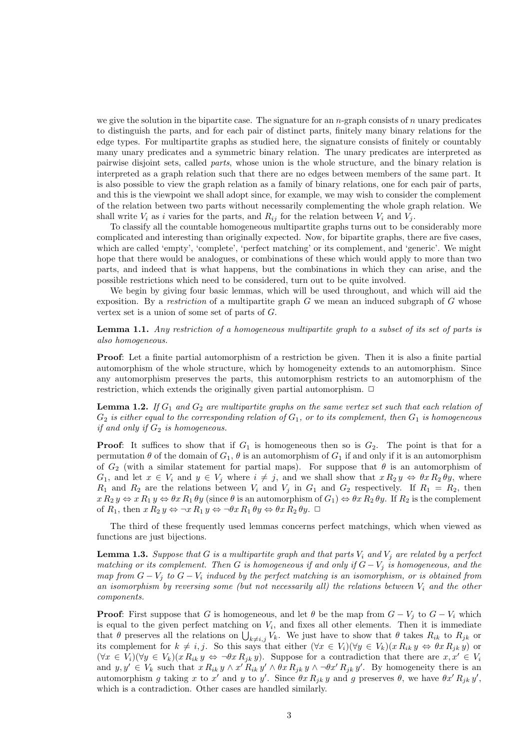we give the solution in the bipartite case. The signature for an  $n$ -graph consists of  $n$  unary predicates to distinguish the parts, and for each pair of distinct parts, finitely many binary relations for the edge types. For multipartite graphs as studied here, the signature consists of finitely or countably many unary predicates and a symmetric binary relation. The unary predicates are interpreted as pairwise disjoint sets, called parts, whose union is the whole structure, and the binary relation is interpreted as a graph relation such that there are no edges between members of the same part. It is also possible to view the graph relation as a family of binary relations, one for each pair of parts, and this is the viewpoint we shall adopt since, for example, we may wish to consider the complement of the relation between two parts without necessarily complementing the whole graph relation. We shall write  $V_i$  as i varies for the parts, and  $R_{ij}$  for the relation between  $V_i$  and  $V_j$ .

To classify all the countable homogeneous multipartite graphs turns out to be considerably more complicated and interesting than originally expected. Now, for bipartite graphs, there are five cases, which are called 'empty', 'complete', 'perfect matching' or its complement, and 'generic'. We might hope that there would be analogues, or combinations of these which would apply to more than two parts, and indeed that is what happens, but the combinations in which they can arise, and the possible restrictions which need to be considered, turn out to be quite involved.

We begin by giving four basic lemmas, which will be used throughout, and which will aid the exposition. By a restriction of a multipartite graph  $G$  we mean an induced subgraph of  $G$  whose vertex set is a union of some set of parts of G.

Lemma 1.1. Any restriction of a homogeneous multipartite graph to a subset of its set of parts is also homogeneous.

Proof: Let a finite partial automorphism of a restriction be given. Then it is also a finite partial automorphism of the whole structure, which by homogeneity extends to an automorphism. Since any automorphism preserves the parts, this automorphism restricts to an automorphism of the restriction, which extends the originally given partial automorphism.  $\Box$ 

**Lemma 1.2.** If  $G_1$  and  $G_2$  are multipartite graphs on the same vertex set such that each relation of  $G_2$  is either equal to the corresponding relation of  $G_1$ , or to its complement, then  $G_1$  is homogeneous if and only if  $G_2$  is homogeneous.

**Proof:** It suffices to show that if  $G_1$  is homogeneous then so is  $G_2$ . The point is that for a permutation  $\theta$  of the domain of  $G_1$ ,  $\theta$  is an automorphism of  $G_1$  if and only if it is an automorphism of  $G_2$  (with a similar statement for partial maps). For suppose that  $\theta$  is an automorphism of  $G_1$ , and let  $x \in V_i$  and  $y \in V_j$  where  $i \neq j$ , and we shall show that  $x R_2 y \Leftrightarrow \theta x R_2 \theta y$ , where  $R_1$  and  $R_2$  are the relations between  $V_i$  and  $V_j$  in  $G_1$  and  $G_2$  respectively. If  $R_1 = R_2$ , then  $x R_2 y \Leftrightarrow x R_1 y \Leftrightarrow \theta x R_1 \theta y$  (since  $\theta$  is an automorphism of  $G_1 \Rightarrow \theta x R_2 \theta y$ . If  $R_2$  is the complement of  $R_1$ , then  $x R_2 y \Leftrightarrow \neg x R_1 y \Leftrightarrow \neg \theta x R_1 \theta y \Leftrightarrow \theta x R_2 \theta y$ .  $\Box$ 

The third of these frequently used lemmas concerns perfect matchings, which when viewed as functions are just bijections.

**Lemma 1.3.** Suppose that G is a multipartite graph and that parts  $V_i$  and  $V_j$  are related by a perfect matching or its complement. Then G is homogeneous if and only if  $G - V_j$  is homogeneous, and the map from  $G - V_j$  to  $G - V_i$  induced by the perfect matching is an isomorphism, or is obtained from an isomorphism by reversing some (but not necessarily all) the relations between  $V_i$  and the other components.

**Proof:** First suppose that G is homogeneous, and let  $\theta$  be the map from  $G - V_i$  to  $G - V_i$  which is equal to the given perfect matching on  $V_i$ , and fixes all other elements. Then it is immediate that  $\theta$  preserves all the relations on  $\bigcup_{k\neq i,j} V_k$ . We just have to show that  $\theta$  takes  $R_{ik}$  to  $R_{jk}$  or its complement for  $k \neq i, j$ . So this says that either  $(\forall x \in V_i)(\forall y \in V_k)(x R_{ik} y \Leftrightarrow \theta x R_{jk} y)$  or  $(\forall x \in V_i)(\forall y \in V_k)(x R_{ik} y \Leftrightarrow \neg \theta x R_{ik} y)$ . Suppose for a contradiction that there are  $x, x' \in V_i$ and  $y, y' \in V_k$  such that  $x R_{ik} y \wedge x' R_{ik} y' \wedge \theta x R_{jk} y \wedge \theta x' R_{jk} y'$ . By homogeneity there is an automorphism g taking x to x' and y to y'. Since  $\theta x R_{jk} y$  and g preserves  $\theta$ , we have  $\theta x' R_{jk} y'$ , which is a contradiction. Other cases are handled similarly.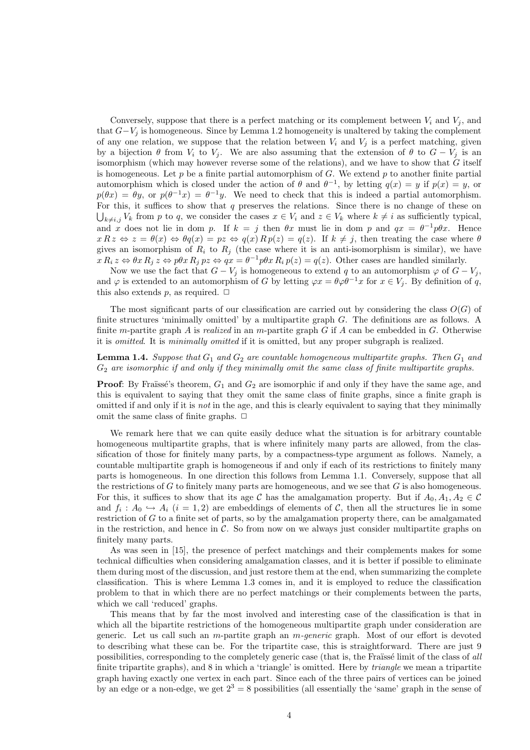Conversely, suppose that there is a perfect matching or its complement between  $V_i$  and  $V_j$ , and that  $G-V_j$  is homogeneous. Since by Lemma 1.2 homogeneity is unaltered by taking the complement of any one relation, we suppose that the relation between  $V_i$  and  $V_j$  is a perfect matching, given by a bijection  $\theta$  from  $V_i$  to  $V_j$ . We are also assuming that the extension of  $\theta$  to  $G - V_j$  is an isomorphism (which may however reverse some of the relations), and we have to show that  $G$  itself is homogeneous. Let  $p$  be a finite partial automorphism of  $G$ . We extend  $p$  to another finite partial automorphism which is closed under the action of  $\theta$  and  $\theta^{-1}$ , by letting  $q(x) = y$  if  $p(x) = y$ , or  $p(\theta x) = \theta y$ , or  $p(\theta^{-1}x) = \theta^{-1}y$ . We need to check that this is indeed a partial automorphism. For this, it suffices to show that  $q$  preserves the relations. Since there is no change of these on  $\bigcup_{k\neq i,j} V_k$  from p to q, we consider the cases  $x \in V_i$  and  $z \in V_k$  where  $k \neq i$  as sufficiently typical, and x does not lie in dom p. If  $k = j$  then  $\theta x$  must lie in dom p and  $qx = \theta^{-1}p\theta x$ . Hence  $x R z \Leftrightarrow z = \theta(x) \Leftrightarrow \theta(q x) = p z \Leftrightarrow q(x) R p(z) = q(z)$ . If  $k \neq j$ , then treating the case where  $\theta$ gives an isomorphism of  $R_i$  to  $R_j$  (the case where it is an anti-isomorphism is similar), we have  $x R_i z \Leftrightarrow \theta x R_j z \Leftrightarrow p\theta x R_j pz \Leftrightarrow qx = \theta^{-1} p\theta x R_i p(z) = q(z)$ . Other cases are handled similarly.

Now we use the fact that  $G - V_j$  is homogeneous to extend q to an automorphism  $\varphi$  of  $G - V_j$ , and  $\varphi$  is extended to an automorphism of G by letting  $\varphi x = \theta \varphi \theta^{-1} x$  for  $x \in V_i$ . By definition of q, this also extends p, as required.  $\Box$ 

The most significant parts of our classification are carried out by considering the class  $O(G)$  of finite structures 'minimally omitted' by a multipartite graph  $G$ . The definitions are as follows. A finite m-partite graph A is realized in an m-partite graph  $G$  if A can be embedded in  $G$ . Otherwise it is *omitted*. It is *minimally omitted* if it is omitted, but any proper subgraph is realized.

#### **Lemma 1.4.** Suppose that  $G_1$  and  $G_2$  are countable homogeneous multipartite graphs. Then  $G_1$  and  $G_2$  are isomorphic if and only if they minimally omit the same class of finite multipartite graphs.

**Proof:** By Fraïssé's theorem,  $G_1$  and  $G_2$  are isomorphic if and only if they have the same age, and this is equivalent to saying that they omit the same class of finite graphs, since a finite graph is omitted if and only if it is not in the age, and this is clearly equivalent to saying that they minimally omit the same class of finite graphs.  $\Box$ 

We remark here that we can quite easily deduce what the situation is for arbitrary countable homogeneous multipartite graphs, that is where infinitely many parts are allowed, from the classification of those for finitely many parts, by a compactness-type argument as follows. Namely, a countable multipartite graph is homogeneous if and only if each of its restrictions to finitely many parts is homogeneous. In one direction this follows from Lemma 1.1. Conversely, suppose that all the restrictions of G to finitely many parts are homogeneous, and we see that  $G$  is also homogeneous. For this, it suffices to show that its age C has the amalgamation property. But if  $A_0, A_1, A_2 \in \mathcal{C}$ and  $f_i: A_0 \hookrightarrow A_i$   $(i = 1, 2)$  are embeddings of elements of C, then all the structures lie in some restriction of G to a finite set of parts, so by the amalgamation property there, can be amalgamated in the restriction, and hence in  $\mathcal{C}$ . So from now on we always just consider multipartite graphs on finitely many parts.

As was seen in [15], the presence of perfect matchings and their complements makes for some technical difficulties when considering amalgamation classes, and it is better if possible to eliminate them during most of the discussion, and just restore them at the end, when summarizing the complete classification. This is where Lemma 1.3 comes in, and it is employed to reduce the classification problem to that in which there are no perfect matchings or their complements between the parts, which we call 'reduced' graphs.

This means that by far the most involved and interesting case of the classification is that in which all the bipartite restrictions of the homogeneous multipartite graph under consideration are generic. Let us call such an m-partite graph an m-generic graph. Most of our effort is devoted to describing what these can be. For the tripartite case, this is straightforward. There are just 9 possibilities, corresponding to the completely generic case (that is, the Fraüssé limit of the class of all finite tripartite graphs), and 8 in which a 'triangle' is omitted. Here by triangle we mean a tripartite graph having exactly one vertex in each part. Since each of the three pairs of vertices can be joined by an edge or a non-edge, we get  $2<sup>3</sup> = 8$  possibilities (all essentially the 'same' graph in the sense of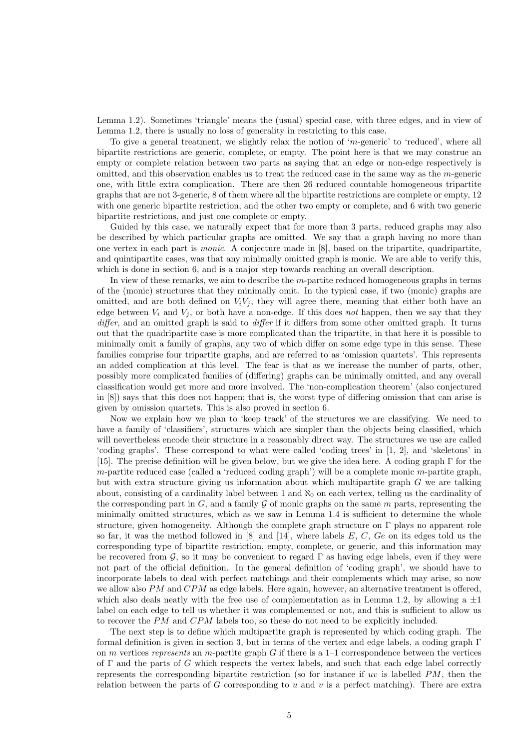Lemma 1.2). Sometimes 'triangle' means the (usual) special case, with three edges, and in view of Lemma 1.2, there is usually no loss of generality in restricting to this case.

To give a general treatment, we slightly relax the notion of 'm-generic' to 'reduced', where all bipartite restrictions are generic, complete, or empty. The point here is that we may construe an empty or complete relation between two parts as saying that an edge or non-edge respectively is omitted, and this observation enables us to treat the reduced case in the same way as the  $m$ -generic one, with little extra complication. There are then 26 reduced countable homogeneous tripartite graphs that are not 3-generic, 8 of them where all the bipartite restrictions are complete or empty, 12 with one generic bipartite restriction, and the other two empty or complete, and 6 with two generic bipartite restrictions, and just one complete or empty.

Guided by this case, we naturally expect that for more than 3 parts, reduced graphs may also be described by which particular graphs are omitted. We say that a graph having no more than one vertex in each part is monic. A conjecture made in [8], based on the tripartite, quadripartite, and quintipartite cases, was that any minimally omitted graph is monic. We are able to verify this, which is done in section 6, and is a major step towards reaching an overall description.

In view of these remarks, we aim to describe the m-partite reduced homogeneous graphs in terms of the (monic) structures that they minimally omit. In the typical case, if two (monic) graphs are omitted, and are both defined on  $V_iV_j$ , they will agree there, meaning that either both have an edge between  $V_i$  and  $V_j$ , or both have a non-edge. If this does not happen, then we say that they differ, and an omitted graph is said to differ if it differs from some other omitted graph. It turns out that the quadripartite case is more complicated than the tripartite, in that here it is possible to minimally omit a family of graphs, any two of which differ on some edge type in this sense. These families comprise four tripartite graphs, and are referred to as 'omission quartets'. This represents an added complication at this level. The fear is that as we increase the number of parts, other, possibly more complicated families of (differing) graphs can be minimally omitted, and any overall classification would get more and more involved. The 'non-complication theorem' (also conjectured in [8]) says that this does not happen; that is, the worst type of differing omission that can arise is given by omission quartets. This is also proved in section 6.

Now we explain how we plan to 'keep track' of the structures we are classifying. We need to have a family of 'classifiers', structures which are simpler than the objects being classified, which will nevertheless encode their structure in a reasonably direct way. The structures we use are called 'coding graphs'. These correspond to what were called 'coding trees' in [1, 2], and 'skeletons' in [15]. The precise definition will be given below, but we give the idea here. A coding graph Γ for the  $m$ -partite reduced case (called a 'reduced coding graph') will be a complete monic  $m$ -partite graph, but with extra structure giving us information about which multipartite graph  $G$  we are talking about, consisting of a cardinality label between 1 and  $\aleph_0$  on each vertex, telling us the cardinality of the corresponding part in  $G$ , and a family  $\mathcal G$  of monic graphs on the same  $m$  parts, representing the minimally omitted structures, which as we saw in Lemma 1.4 is sufficient to determine the whole structure, given homogeneity. Although the complete graph structure on  $\Gamma$  plays no apparent role so far, it was the method followed in  $[8]$  and  $[14]$ , where labels E, C, Ge on its edges told us the corresponding type of bipartite restriction, empty, complete, or generic, and this information may be recovered from G, so it may be convenient to regard  $\Gamma$  as having edge labels, even if they were not part of the official definition. In the general definition of 'coding graph', we should have to incorporate labels to deal with perfect matchings and their complements which may arise, so now we allow also  $PM$  and  $CPM$  as edge labels. Here again, however, an alternative treatment is offered, which also deals neatly with the free use of complementation as in Lemma 1.2, by allowing a  $\pm 1$ label on each edge to tell us whether it was complemented or not, and this is sufficient to allow us to recover the PM and CPM labels too, so these do not need to be explicitly included.

The next step is to define which multipartite graph is represented by which coding graph. The formal definition is given in section 3, but in terms of the vertex and edge labels, a coding graph Γ on m vertices represents an m-partite graph  $G$  if there is a 1-1 correspondence between the vertices of  $\Gamma$  and the parts of G which respects the vertex labels, and such that each edge label correctly represents the corresponding bipartite restriction (so for instance if  $uv$  is labelled  $PM$ , then the relation between the parts of G corresponding to  $u$  and  $v$  is a perfect matching). There are extra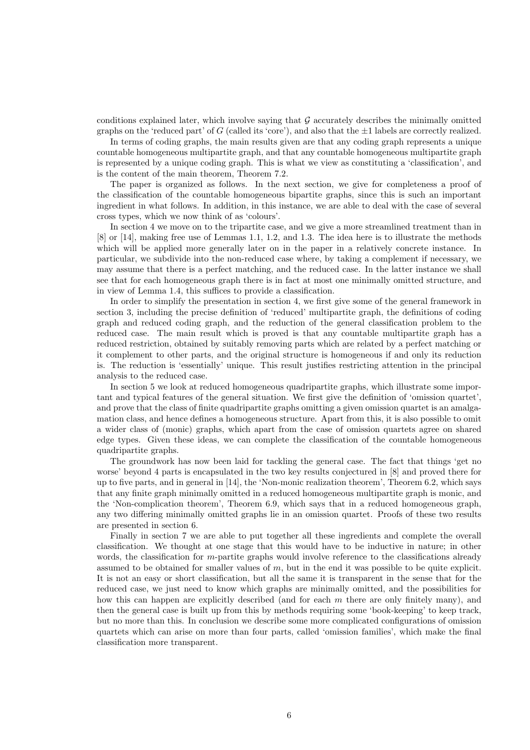conditions explained later, which involve saying that  $G$  accurately describes the minimally omitted graphs on the 'reduced part' of G (called its 'core'), and also that the  $\pm 1$  labels are correctly realized.

In terms of coding graphs, the main results given are that any coding graph represents a unique countable homogeneous multipartite graph, and that any countable homogeneous multipartite graph is represented by a unique coding graph. This is what we view as constituting a 'classification', and is the content of the main theorem, Theorem 7.2.

The paper is organized as follows. In the next section, we give for completeness a proof of the classification of the countable homogeneous bipartite graphs, since this is such an important ingredient in what follows. In addition, in this instance, we are able to deal with the case of several cross types, which we now think of as 'colours'.

In section 4 we move on to the tripartite case, and we give a more streamlined treatment than in [8] or [14], making free use of Lemmas 1.1, 1.2, and 1.3. The idea here is to illustrate the methods which will be applied more generally later on in the paper in a relatively concrete instance. In particular, we subdivide into the non-reduced case where, by taking a complement if necessary, we may assume that there is a perfect matching, and the reduced case. In the latter instance we shall see that for each homogeneous graph there is in fact at most one minimally omitted structure, and in view of Lemma 1.4, this suffices to provide a classification.

In order to simplify the presentation in section 4, we first give some of the general framework in section 3, including the precise definition of 'reduced' multipartite graph, the definitions of coding graph and reduced coding graph, and the reduction of the general classification problem to the reduced case. The main result which is proved is that any countable multipartite graph has a reduced restriction, obtained by suitably removing parts which are related by a perfect matching or it complement to other parts, and the original structure is homogeneous if and only its reduction is. The reduction is 'essentially' unique. This result justifies restricting attention in the principal analysis to the reduced case.

In section 5 we look at reduced homogeneous quadripartite graphs, which illustrate some important and typical features of the general situation. We first give the definition of 'omission quartet', and prove that the class of finite quadripartite graphs omitting a given omission quartet is an amalgamation class, and hence defines a homogeneous structure. Apart from this, it is also possible to omit a wider class of (monic) graphs, which apart from the case of omission quartets agree on shared edge types. Given these ideas, we can complete the classification of the countable homogeneous quadripartite graphs.

The groundwork has now been laid for tackling the general case. The fact that things 'get no worse' beyond 4 parts is encapsulated in the two key results conjectured in [8] and proved there for up to five parts, and in general in [14], the 'Non-monic realization theorem', Theorem 6.2, which says that any finite graph minimally omitted in a reduced homogeneous multipartite graph is monic, and the 'Non-complication theorem', Theorem 6.9, which says that in a reduced homogeneous graph, any two differing minimally omitted graphs lie in an omission quartet. Proofs of these two results are presented in section 6.

Finally in section 7 we are able to put together all these ingredients and complete the overall classification. We thought at one stage that this would have to be inductive in nature; in other words, the classification for m-partite graphs would involve reference to the classifications already assumed to be obtained for smaller values of m, but in the end it was possible to be quite explicit. It is not an easy or short classification, but all the same it is transparent in the sense that for the reduced case, we just need to know which graphs are minimally omitted, and the possibilities for how this can happen are explicitly described (and for each  $m$  there are only finitely many), and then the general case is built up from this by methods requiring some 'book-keeping' to keep track, but no more than this. In conclusion we describe some more complicated configurations of omission quartets which can arise on more than four parts, called 'omission families', which make the final classification more transparent.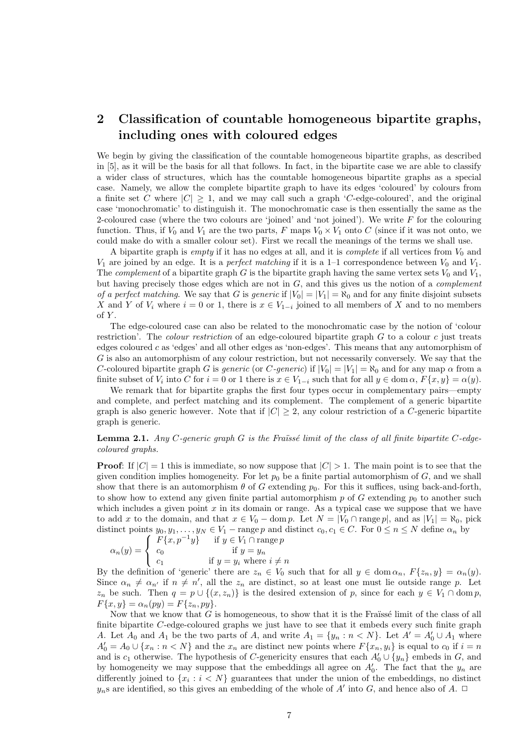# 2 Classification of countable homogeneous bipartite graphs, including ones with coloured edges

We begin by giving the classification of the countable homogeneous bipartite graphs, as described in [5], as it will be the basis for all that follows. In fact, in the bipartite case we are able to classify a wider class of structures, which has the countable homogeneous bipartite graphs as a special case. Namely, we allow the complete bipartite graph to have its edges 'coloured' by colours from a finite set C where  $|C| \geq 1$ , and we may call such a graph 'C-edge-coloured', and the original case 'monochromatic' to distinguish it. The monochromatic case is then essentially the same as the 2-coloured case (where the two colours are 'joined' and 'not joined'). We write  $F$  for the colouring function. Thus, if  $V_0$  and  $V_1$  are the two parts, F maps  $V_0 \times V_1$  onto C (since if it was not onto, we could make do with a smaller colour set). First we recall the meanings of the terms we shall use.

A bipartite graph is *empty* if it has no edges at all, and it is *complete* if all vertices from  $V_0$  and  $V_1$  are joined by an edge. It is a *perfect matching* if it is a 1-1 correspondence between  $V_0$  and  $V_1$ . The *complement* of a bipartite graph  $G$  is the bipartite graph having the same vertex sets  $V_0$  and  $V_1$ , but having precisely those edges which are not in  $G$ , and this gives us the notion of a *complement* of a perfect matching. We say that G is generic if  $|V_0| = |V_1| = \aleph_0$  and for any finite disjoint subsets X and Y of  $V_i$  where  $i = 0$  or 1, there is  $x \in V_{1-i}$  joined to all members of X and to no members of  $Y$ .

The edge-coloured case can also be related to the monochromatic case by the notion of 'colour restriction'. The *colour restriction* of an edge-coloured bipartite graph  $G$  to a colour  $c$  just treats edges coloured c as 'edges' and all other edges as 'non-edges'. This means that any automorphism of G is also an automorphism of any colour restriction, but not necessarily conversely. We say that the C-coloured bipartite graph G is generic (or C-generic) if  $|V_0| = |V_1| = \aleph_0$  and for any map  $\alpha$  from a finite subset of  $V_i$  into C for  $i = 0$  or 1 there is  $x \in V_{1-i}$  such that for all  $y \in \text{dom }\alpha$ ,  $F\{x, y\} = \alpha(y)$ .

We remark that for bipartite graphs the first four types occur in complementary pairs—empty and complete, and perfect matching and its complement. The complement of a generic bipartite graph is also generic however. Note that if  $|C| \geq 2$ , any colour restriction of a C-generic bipartite graph is generic.

#### **Lemma 2.1.** Any C-generic graph G is the Fraüssé limit of the class of all finite bipartite C-edgecoloured graphs.

**Proof:** If  $|C| = 1$  this is immediate, so now suppose that  $|C| > 1$ . The main point is to see that the given condition implies homogeneity. For let  $p_0$  be a finite partial automorphism of G, and we shall show that there is an automorphism  $\theta$  of G extending  $p_0$ . For this it suffices, using back-and-forth, to show how to extend any given finite partial automorphism p of G extending  $p_0$  to another such which includes a given point  $x$  in its domain or range. As a typical case we suppose that we have to add x to the domain, and that  $x \in V_0$  – dom p. Let  $N = |V_0 \cap \text{range } p|$ , and as  $|V_1| = \aleph_0$ , pick distinct points  $y_0, y_1, \ldots, y_N \in V_1$  – range p and distinct  $c_0, c_1 \in C$ . For  $0 \le n \le N$  define  $\alpha_n$  by

$$
\alpha_n(y) = \begin{cases} F\{x, p^{-1}y\} & \text{if } y \in V_1 \cap \text{range } p \\ c_0 & \text{if } y = y_n \\ c_1 & \text{if } y = y_i \text{ where } i \neq n \end{cases}
$$

By the definition of 'generic' there are  $z_n \in V_0$  such that for all  $y \in \text{dom } \alpha_n$ ,  $F\{z_n, y\} = \alpha_n(y)$ . Since  $\alpha_n \neq \alpha_{n'}$  if  $n \neq n'$ , all the  $z_n$  are distinct, so at least one must lie outside range p. Let  $z_n$  be such. Then  $q = p \cup \{(x, z_n)\}\$ is the desired extension of p, since for each  $y \in V_1 \cap \text{dom } p$ ,  $F\{x, y\} = \alpha_n(py) = F\{z_n, py\}.$ 

Now that we know that  $G$  is homogeneous, to show that it is the Fraïssé limit of the class of all finite bipartite C-edge-coloured graphs we just have to see that it embeds every such finite graph A. Let  $A_0$  and  $A_1$  be the two parts of A, and write  $A_1 = \{y_n : n \lt N\}$ . Let  $A' = A'_0 \cup A_1$  where  $A'_0 = A_0 \cup \{x_n : n < N\}$  and the  $x_n$  are distinct new points where  $F\{x_n, y_i\}$  is equal to  $c_0$  if  $i = n$ and is  $c_1$  otherwise. The hypothesis of C-genericity ensures that each  $A'_0 \cup \{y_n\}$  embeds in G, and by homogeneity we may suppose that the embeddings all agree on  $A'_0$ . The fact that the  $y_n$  are differently joined to  $\{x_i : i < N\}$  guarantees that under the union of the embeddings, no distinct  $y_n$ s are identified, so this gives an embedding of the whole of A' into G, and hence also of A.  $\Box$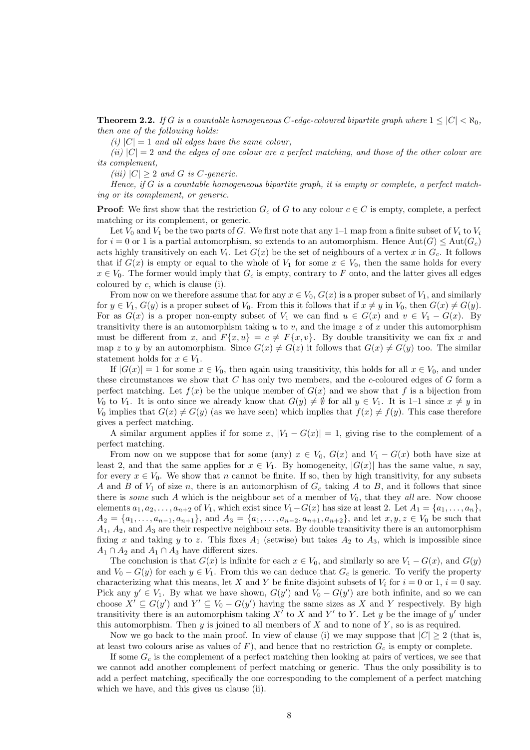**Theorem 2.2.** If G is a countable homogeneous C-edge-coloured bipartite graph where  $1 \leq |C| < \aleph_0$ , then one of the following holds:

(i)  $|C| = 1$  and all edges have the same colour,

(ii)  $|C| = 2$  and the edges of one colour are a perfect matching, and those of the other colour are its complement,

(iii)  $|C| \geq 2$  and G is C-generic.

Hence, if  $G$  is a countable homogeneous bipartite graph, it is empty or complete, a perfect matching or its complement, or generic.

**Proof:** We first show that the restriction  $G_c$  of G to any colour  $c \in C$  is empty, complete, a perfect matching or its complement, or generic.

Let  $V_0$  and  $V_1$  be the two parts of G. We first note that any 1–1 map from a finite subset of  $V_i$  to  $V_i$ for  $i = 0$  or 1 is a partial automorphism, so extends to an automorphism. Hence  $Aut(G) \le Aut(G_c)$ acts highly transitively on each  $V_i$ . Let  $G(x)$  be the set of neighbours of a vertex x in  $G_c$ . It follows that if  $G(x)$  is empty or equal to the whole of  $V_1$  for some  $x \in V_0$ , then the same holds for every  $x \in V_0$ . The former would imply that  $G_c$  is empty, contrary to F onto, and the latter gives all edges coloured by  $c$ , which is clause (i).

From now on we therefore assume that for any  $x \in V_0$ ,  $G(x)$  is a proper subset of  $V_1$ , and similarly for  $y \in V_1$ ,  $G(y)$  is a proper subset of  $V_0$ . From this it follows that if  $x \neq y$  in  $V_0$ , then  $G(x) \neq G(y)$ . For as  $G(x)$  is a proper non-empty subset of  $V_1$  we can find  $u \in G(x)$  and  $v \in V_1 - G(x)$ . By transitivity there is an automorphism taking u to v, and the image z of x under this automorphism must be different from x, and  $F\{x, u\} = c \neq F\{x, v\}$ . By double transitivity we can fix x and map z to y by an automorphism. Since  $G(x) \neq G(z)$  it follows that  $G(x) \neq G(y)$  too. The similar statement holds for  $x \in V_1$ .

If  $|G(x)| = 1$  for some  $x \in V_0$ , then again using transitivity, this holds for all  $x \in V_0$ , and under these circumstances we show that  $C$  has only two members, and the c-coloured edges of  $G$  form a perfect matching. Let  $f(x)$  be the unique member of  $G(x)$  and we show that f is a bijection from  $V_0$  to  $V_1$ . It is onto since we already know that  $G(y) \neq \emptyset$  for all  $y \in V_1$ . It is 1–1 since  $x \neq y$  in  $V_0$  implies that  $G(x) \neq G(y)$  (as we have seen) which implies that  $f(x) \neq f(y)$ . This case therefore gives a perfect matching.

A similar argument applies if for some x,  $|V_1 - G(x)| = 1$ , giving rise to the complement of a perfect matching.

From now on we suppose that for some (any)  $x \in V_0$ ,  $G(x)$  and  $V_1 - G(x)$  both have size at least 2, and that the same applies for  $x \in V_1$ . By homogeneity,  $|G(x)|$  has the same value, n say, for every  $x \in V_0$ . We show that n cannot be finite. If so, then by high transitivity, for any subsets A and B of  $V_1$  of size n, there is an automorphism of  $G_c$  taking A to B, and it follows that since there is *some* such A which is the neighbour set of a member of  $V_0$ , that they all are. Now choose elements  $a_1, a_2, \ldots, a_{n+2}$  of  $V_1$ , which exist since  $V_1-G(x)$  has size at least 2. Let  $A_1 = \{a_1, \ldots, a_n\}$ ,  $A_2 = \{a_1, \ldots, a_{n-1}, a_{n+1}\}\$ , and  $A_3 = \{a_1, \ldots, a_{n-2}, a_{n+1}, a_{n+2}\}\$ , and let  $x, y, z \in V_0$  be such that  $A_1$ ,  $A_2$ , and  $A_3$  are their respective neighbour sets. By double transitivity there is an automorphism fixing x and taking y to z. This fixes  $A_1$  (setwise) but takes  $A_2$  to  $A_3$ , which is impossible since  $A_1 \cap A_2$  and  $A_1 \cap A_3$  have different sizes.

The conclusion is that  $G(x)$  is infinite for each  $x \in V_0$ , and similarly so are  $V_1 - G(x)$ , and  $G(y)$ and  $V_0 - G(y)$  for each  $y \in V_1$ . From this we can deduce that  $G_c$  is generic. To verify the property characterizing what this means, let X and Y be finite disjoint subsets of  $V_i$  for  $i = 0$  or 1,  $i = 0$  say. Pick any  $y' \in V_1$ . By what we have shown,  $G(y')$  and  $V_0 - G(y')$  are both infinite, and so we can choose  $X' \subseteq G(y')$  and  $Y' \subseteq V_0 - G(y')$  having the same sizes as X and Y respectively. By high transitivity there is an automorphism taking  $X'$  to X and Y' to Y. Let y be the image of y' under this automorphism. Then  $y$  is joined to all members of  $X$  and to none of  $Y$ , so is as required.

Now we go back to the main proof. In view of clause (i) we may suppose that  $|C| \geq 2$  (that is, at least two colours arise as values of  $F$ ), and hence that no restriction  $G_c$  is empty or complete.

If some  $G_c$  is the complement of a perfect matching then looking at pairs of vertices, we see that we cannot add another complement of perfect matching or generic. Thus the only possibility is to add a perfect matching, specifically the one corresponding to the complement of a perfect matching which we have, and this gives us clause (ii).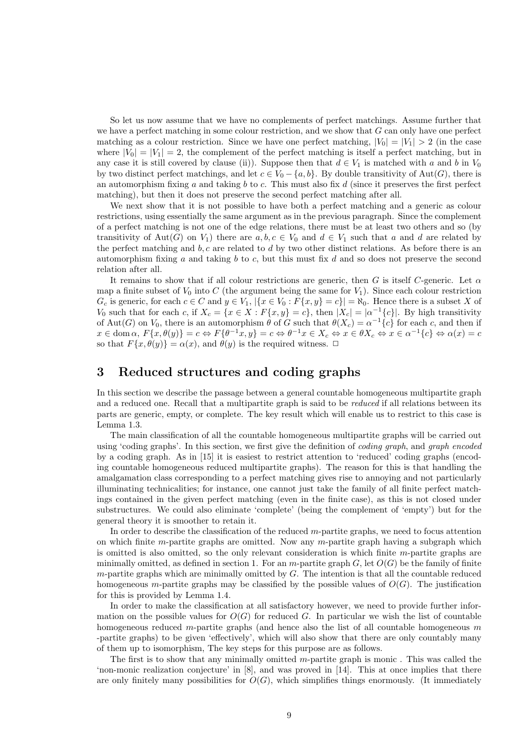So let us now assume that we have no complements of perfect matchings. Assume further that we have a perfect matching in some colour restriction, and we show that  $G$  can only have one perfect matching as a colour restriction. Since we have one perfect matching,  $|V_0| = |V_1| > 2$  (in the case where  $|V_0| = |V_1| = 2$ , the complement of the perfect matching is itself a perfect matching, but in any case it is still covered by clause (ii)). Suppose then that  $d \in V_1$  is matched with a and b in  $V_0$ by two distinct perfect matchings, and let  $c \in V_0 - \{a, b\}$ . By double transitivity of Aut(G), there is an automorphism fixing a and taking b to c. This must also fix d (since it preserves the first perfect matching), but then it does not preserve the second perfect matching after all.

We next show that it is not possible to have both a perfect matching and a generic as colour restrictions, using essentially the same argument as in the previous paragraph. Since the complement of a perfect matching is not one of the edge relations, there must be at least two others and so (by transitivity of Aut(G) on  $V_1$ ) there are  $a, b, c \in V_0$  and  $d \in V_1$  such that a and d are related by the perfect matching and  $b, c$  are related to  $d$  by two other distinct relations. As before there is an automorphism fixing a and taking b to c, but this must fix d and so does not preserve the second relation after all.

It remains to show that if all colour restrictions are generic, then G is itself C-generic. Let  $\alpha$ map a finite subset of  $V_0$  into C (the argument being the same for  $V_1$ ). Since each colour restriction  $G_c$  is generic, for each  $c \in C$  and  $y \in V_1$ ,  $|\{x \in V_0 : F\{x, y\} = c\}| = \aleph_0$ . Hence there is a subset X of V<sub>0</sub> such that for each c, if  $X_c = \{x \in X : F\{x, y\} = c\}$ , then  $|X_c| = |\alpha^{-1}{c}|$ . By high transitivity of Aut(G) on  $V_0$ , there is an automorphism  $\theta$  of G such that  $\theta(X_c) = \alpha^{-1}{c}$  for each c, and then if  $x \in \text{dom }\alpha, F\{x, \theta(y)\} = c \Leftrightarrow F\{\theta^{-1}x, y\} = c \Leftrightarrow \theta^{-1}x \in X_c \Leftrightarrow x \in \theta X_c \Leftrightarrow x \in \alpha^{-1}\{c\} \Leftrightarrow \alpha(x) = c$ so that  $F\{x, \theta(y)\} = \alpha(x)$ , and  $\theta(y)$  is the required witness.  $\Box$ 

### 3 Reduced structures and coding graphs

In this section we describe the passage between a general countable homogeneous multipartite graph and a reduced one. Recall that a multipartite graph is said to be reduced if all relations between its parts are generic, empty, or complete. The key result which will enable us to restrict to this case is Lemma 1.3.

The main classification of all the countable homogeneous multipartite graphs will be carried out using 'coding graphs'. In this section, we first give the definition of coding graph, and graph encoded by a coding graph. As in [15] it is easiest to restrict attention to 'reduced' coding graphs (encoding countable homogeneous reduced multipartite graphs). The reason for this is that handling the amalgamation class corresponding to a perfect matching gives rise to annoying and not particularly illuminating technicalities; for instance, one cannot just take the family of all finite perfect matchings contained in the given perfect matching (even in the finite case), as this is not closed under substructures. We could also eliminate 'complete' (being the complement of 'empty') but for the general theory it is smoother to retain it.

In order to describe the classification of the reduced m-partite graphs, we need to focus attention on which finite m-partite graphs are omitted. Now any m-partite graph having a subgraph which is omitted is also omitted, so the only relevant consideration is which finite  $m$ -partite graphs are minimally omitted, as defined in section 1. For an m-partite graph  $G$ , let  $O(G)$  be the family of finite  $m$ -partite graphs which are minimally omitted by  $G$ . The intention is that all the countable reduced homogeneous m-partite graphs may be classified by the possible values of  $O(G)$ . The justification for this is provided by Lemma 1.4.

In order to make the classification at all satisfactory however, we need to provide further information on the possible values for  $O(G)$  for reduced G. In particular we wish the list of countable homogeneous reduced m-partite graphs (and hence also the list of all countable homogeneous  $m$ -partite graphs) to be given 'effectively', which will also show that there are only countably many of them up to isomorphism, The key steps for this purpose are as follows.

The first is to show that any minimally omitted m-partite graph is monic. This was called the 'non-monic realization conjecture' in [8], and was proved in [14]. This at once implies that there are only finitely many possibilities for  $O(G)$ , which simplifies things enormously. (It immediately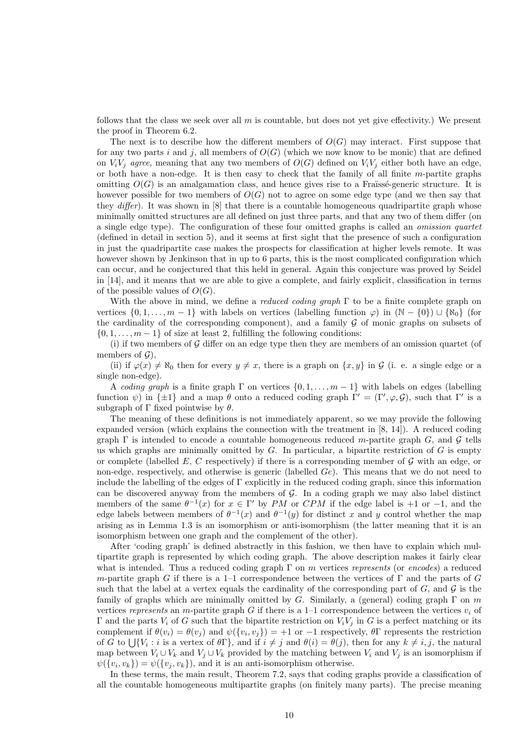follows that the class we seek over all  $m$  is countable, but does not yet give effectivity.) We present the proof in Theorem 6.2.

The next is to describe how the different members of  $O(G)$  may interact. First suppose that for any two parts i and j, all members of  $O(G)$  (which we now know to be monic) that are defined on  $V_iV_j$  agree, meaning that any two members of  $O(G)$  defined on  $V_iV_j$  either both have an edge, or both have a non-edge. It is then easy to check that the family of all finite m-partite graphs omitting  $O(G)$  is an amalgamation class, and hence gives rise to a Fraüssé-generic structure. It is however possible for two members of  $O(G)$  not to agree on some edge type (and we then say that they  $differ$ ). It was shown in  $[8]$  that there is a countable homogeneous quadripartite graph whose minimally omitted structures are all defined on just three parts, and that any two of them differ (on a single edge type). The configuration of these four omitted graphs is called an omission quartet (defined in detail in section 5), and it seems at first sight that the presence of such a configuration in just the quadripartite case makes the prospects for classification at higher levels remote. It was however shown by Jenkinson that in up to 6 parts, this is the most complicated configuration which can occur, and he conjectured that this held in general. Again this conjecture was proved by Seidel in [14], and it means that we are able to give a complete, and fairly explicit, classification in terms of the possible values of  $O(G)$ .

With the above in mind, we define a *reduced coding graph*  $\Gamma$  to be a finite complete graph on vertices  $\{0, 1, \ldots, m-1\}$  with labels on vertices (labelling function  $\varphi$ ) in  $(\mathbb{N} - \{0\}) \cup \{\aleph_0\}$  (for the cardinality of the corresponding component), and a family  $G$  of monic graphs on subsets of  $\{0, 1, \ldots, m-1\}$  of size at least 2, fulfilling the following conditions:

(i) if two members of  $G$  differ on an edge type then they are members of an omission quartet (of members of  $\mathcal{G}$ ),

(ii) if  $\varphi(x) \neq \aleph_0$  then for every  $y \neq x$ , there is a graph on  $\{x, y\}$  in G (i. e. a single edge or a single non-edge).

A coding graph is a finite graph  $\Gamma$  on vertices  $\{0, 1, \ldots, m-1\}$  with labels on edges (labelling function  $\psi$ ) in  $\{\pm 1\}$  and a map  $\theta$  onto a reduced coding graph  $\Gamma' = (\Gamma', \varphi, \mathcal{G})$ , such that  $\Gamma'$  is a subgraph of  $\Gamma$  fixed pointwise by  $\theta$ .

The meaning of these definitions is not immediately apparent, so we may provide the following expanded version (which explains the connection with the treatment in [8, 14]). A reduced coding graph  $\Gamma$  is intended to encode a countable homogeneous reduced m-partite graph  $G$ , and  $\mathcal G$  tells us which graphs are minimally omitted by  $G$ . In particular, a bipartite restriction of  $G$  is empty or complete (labelled  $E, C$  respectively) if there is a corresponding member of  $G$  with an edge, or non-edge, respectively, and otherwise is generic (labelled  $Ge$ ). This means that we do not need to include the labelling of the edges of  $\Gamma$  explicitly in the reduced coding graph, since this information can be discovered anyway from the members of  $G$ . In a coding graph we may also label distinct members of the same  $\theta^{-1}(x)$  for  $x \in \Gamma'$  by PM or CPM if the edge label is +1 or -1, and the edge labels between members of  $\theta^{-1}(x)$  and  $\theta^{-1}(y)$  for distinct x and y control whether the map arising as in Lemma 1.3 is an isomorphism or anti-isomorphism (the latter meaning that it is an isomorphism between one graph and the complement of the other).

After 'coding graph' is defined abstractly in this fashion, we then have to explain which multipartite graph is represented by which coding graph. The above description makes it fairly clear what is intended. Thus a reduced coding graph  $\Gamma$  on m vertices represents (or encodes) a reduced m-partite graph G if there is a 1–1 correspondence between the vertices of  $\Gamma$  and the parts of G such that the label at a vertex equals the cardinality of the corresponding part of  $G$ , and  $\mathcal G$  is the family of graphs which are minimally omitted by G. Similarly, a (general) coding graph  $\Gamma$  on m vertices represents an m-partite graph G if there is a 1-1 correspondence between the vertices  $v_i$  of Γ and the parts  $V_i$  of G such that the bipartite restriction on  $V_iV_j$  in G is a perfect matching or its complement if  $\theta(v_i) = \theta(v_j)$  and  $\psi(\{v_i, v_j\}) = +1$  or  $-1$  respectively,  $\theta \Gamma$  represents the restriction of G to  $\bigcup \{V_i : i$  is a vertex of  $\theta \Gamma\}$ , and if  $i \neq j$  and  $\theta(i) = \theta(j)$ , then for any  $k \neq i, j$ , the natural map between  $V_i \cup V_k$  and  $V_j \cup V_k$  provided by the matching between  $V_i$  and  $V_j$  is an isomorphism if  $\psi({v_i, v_k}) = \psi({v_j, v_k})$ , and it is an anti-isomorphism otherwise.

In these terms, the main result, Theorem 7.2, says that coding graphs provide a classification of all the countable homogeneous multipartite graphs (on finitely many parts). The precise meaning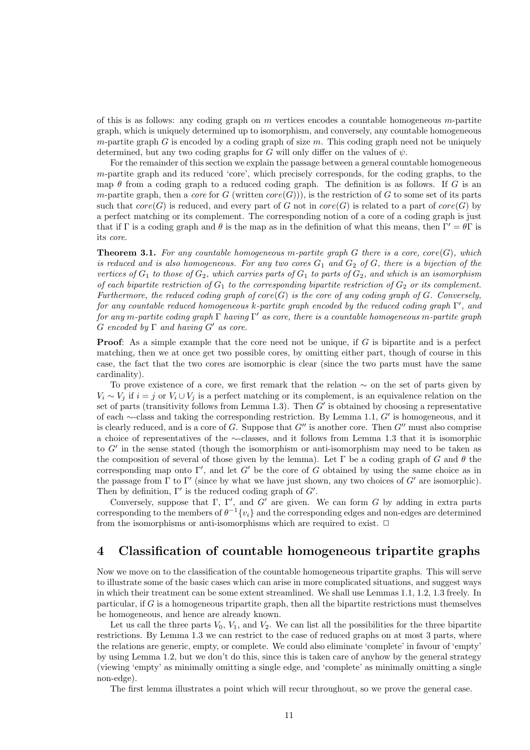of this is as follows: any coding graph on  $m$  vertices encodes a countable homogeneous  $m$ -partite graph, which is uniquely determined up to isomorphism, and conversely, any countable homogeneous m-partite graph G is encoded by a coding graph of size  $m$ . This coding graph need not be uniquely determined, but any two coding graphs for G will only differ on the values of  $\psi$ .

For the remainder of this section we explain the passage between a general countable homogeneous  $m$ -partite graph and its reduced 'core', which precisely corresponds, for the coding graphs, to the map  $\theta$  from a coding graph to a reduced coding graph. The definition is as follows. If G is an m-partite graph, then a *core* for G (written  $core(G)$ )), is the restriction of G to some set of its parts such that  $core(G)$  is reduced, and every part of G not in  $core(G)$  is related to a part of  $core(G)$  by a perfect matching or its complement. The corresponding notion of a core of a coding graph is just that if Γ is a coding graph and  $\theta$  is the map as in the definition of what this means, then  $\Gamma' = \theta \Gamma$  is its core.

**Theorem 3.1.** For any countable homogeneous m-partite graph G there is a core,  $core(G)$ , which is reduced and is also homogeneous. For any two cores  $G_1$  and  $G_2$  of  $G$ , there is a bijection of the vertices of  $G_1$  to those of  $G_2$ , which carries parts of  $G_1$  to parts of  $G_2$ , and which is an isomorphism of each bipartite restriction of  $G_1$  to the corresponding bipartite restriction of  $G_2$  or its complement. Furthermore, the reduced coding graph of  $core(G)$  is the core of any coding graph of G. Conversely, for any countable reduced homogeneous k-partite graph encoded by the reduced coding graph  $\Gamma'$ , and for any m-partite coding graph  $\Gamma$  having  $\Gamma'$  as core, there is a countable homogeneous m-partite graph  $G$  encoded by  $\Gamma$  and having  $G'$  as core.

**Proof:** As a simple example that the core need not be unique, if  $G$  is bipartite and is a perfect matching, then we at once get two possible cores, by omitting either part, though of course in this case, the fact that the two cores are isomorphic is clear (since the two parts must have the same cardinality).

To prove existence of a core, we first remark that the relation  $\sim$  on the set of parts given by  $V_i \sim V_j$  if  $i = j$  or  $V_i \cup V_j$  is a perfect matching or its complement, is an equivalence relation on the set of parts (transitivity follows from Lemma 1.3). Then  $G'$  is obtained by choosing a representative of each  $\sim$ -class and taking the corresponding restriction. By Lemma 1.1, G' is homogeneous, and it is clearly reduced, and is a core of G. Suppose that  $G''$  is another core. Then  $G''$  must also comprise a choice of representatives of the ∼-classes, and it follows from Lemma 1.3 that it is isomorphic to  $G'$  in the sense stated (though the isomorphism or anti-isomorphism may need to be taken as the composition of several of those given by the lemma). Let Γ be a coding graph of G and  $\theta$  the corresponding map onto  $\Gamma'$ , and let G' be the core of G obtained by using the same choice as in the passage from  $\Gamma$  to  $\Gamma'$  (since by what we have just shown, any two choices of  $G'$  are isomorphic). Then by definition,  $\Gamma'$  is the reduced coding graph of  $G'$ .

Conversely, suppose that  $\Gamma$ ,  $\Gamma'$ , and  $G'$  are given. We can form G by adding in extra parts corresponding to the members of  $\theta^{-1}\{v_i\}$  and the corresponding edges and non-edges are determined from the isomorphisms or anti-isomorphisms which are required to exist.  $\Box$ 

### 4 Classification of countable homogeneous tripartite graphs

Now we move on to the classification of the countable homogeneous tripartite graphs. This will serve to illustrate some of the basic cases which can arise in more complicated situations, and suggest ways in which their treatment can be some extent streamlined. We shall use Lemmas 1.1, 1.2, 1.3 freely. In particular, if  $G$  is a homogeneous tripartite graph, then all the bipartite restrictions must themselves be homogeneous, and hence are already known.

Let us call the three parts  $V_0$ ,  $V_1$ , and  $V_2$ . We can list all the possibilities for the three bipartite restrictions. By Lemma 1.3 we can restrict to the case of reduced graphs on at most 3 parts, where the relations are generic, empty, or complete. We could also eliminate 'complete' in favour of 'empty' by using Lemma 1.2, but we don't do this, since this is taken care of anyhow by the general strategy (viewing 'empty' as minimally omitting a single edge, and 'complete' as minimally omitting a single non-edge).

The first lemma illustrates a point which will recur throughout, so we prove the general case.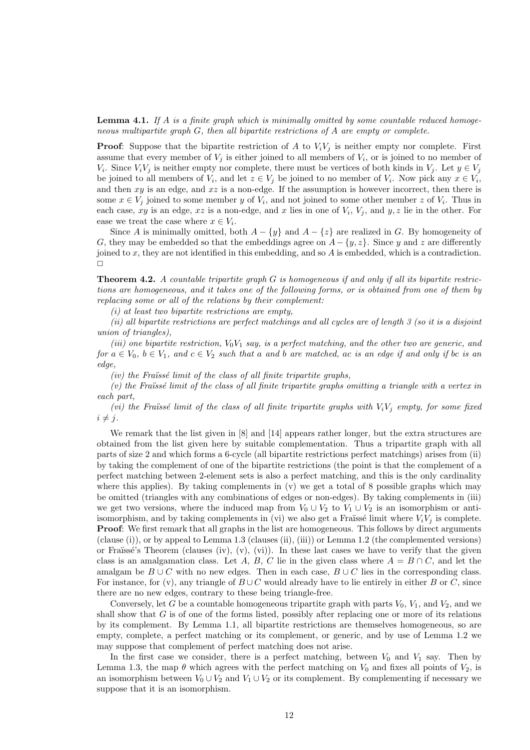**Lemma 4.1.** If A is a finite graph which is minimally omitted by some countable reduced homogeneous multipartite graph G, then all bipartite restrictions of A are empty or complete.

**Proof:** Suppose that the bipartite restriction of A to  $V_iV_j$  is neither empty nor complete. First assume that every member of  $V_j$  is either joined to all members of  $V_i$ , or is joined to no member of  $V_i$ . Since  $V_i V_j$  is neither empty nor complete, there must be vertices of both kinds in  $V_j$ . Let  $y \in V_j$ be joined to all members of  $V_i$ , and let  $z \in V_j$  be joined to no member of  $V_i$ . Now pick any  $x \in V_i$ , and then  $xy$  is an edge, and  $xz$  is a non-edge. If the assumption is however incorrect, then there is some  $x \in V_j$  joined to some member y of  $V_i$ , and not joined to some other member z of  $V_i$ . Thus in each case, xy is an edge, xz is a non-edge, and x lies in one of  $V_i$ ,  $V_j$ , and y, z lie in the other. For ease we treat the case where  $x \in V_i$ .

Since A is minimally omitted, both  $A - \{y\}$  and  $A - \{z\}$  are realized in G. By homogeneity of G, they may be embedded so that the embeddings agree on  $A - \{y, z\}$ . Since y and z are differently joined to x, they are not identified in this embedding, and so  $A$  is embedded, which is a contradiction.  $\Box$ 

**Theorem 4.2.** A countable tripartite graph  $G$  is homogeneous if and only if all its bipartite restrictions are homogeneous, and it takes one of the following forms, or is obtained from one of them by replacing some or all of the relations by their complement:

 $(i)$  at least two bipartite restrictions are empty,

(ii) all bipartite restrictions are perfect matchings and all cycles are of length 3 (so it is a disjoint union of triangles),

(iii) one bipartite restriction,  $V_0V_1$  say, is a perfect matching, and the other two are generic, and for  $a \in V_0$ ,  $b \in V_1$ , and  $c \in V_2$  such that a and b are matched, ac is an edge if and only if bc is an edge,

 $(iv)$  the Fraïssé limit of the class of all finite tripartite graphs,

 $(v)$  the Fraïssé limit of the class of all finite tripartite graphs omitting a triangle with a vertex in each part,

(vi) the Fraüssé limit of the class of all finite tripartite graphs with  $V_iV_i$  empty, for some fixed  $i \neq j$ .

We remark that the list given in  $[8]$  and  $[14]$  appears rather longer, but the extra structures are obtained from the list given here by suitable complementation. Thus a tripartite graph with all parts of size 2 and which forms a 6-cycle (all bipartite restrictions perfect matchings) arises from (ii) by taking the complement of one of the bipartite restrictions (the point is that the complement of a perfect matching between 2-element sets is also a perfect matching, and this is the only cardinality where this applies). By taking complements in  $(v)$  we get a total of 8 possible graphs which may be omitted (triangles with any combinations of edges or non-edges). By taking complements in (iii) we get two versions, where the induced map from  $V_0 \cup V_2$  to  $V_1 \cup V_2$  is an isomorphism or antiisomorphism, and by taking complements in (vi) we also get a Fraïssé limit where  $V_iV_j$  is complete. **Proof:** We first remark that all graphs in the list are homogeneous. This follows by direct arguments (clause (i)), or by appeal to Lemma 1.3 (clauses (ii), (iii)) or Lemma 1.2 (the complemented versions) or Fraïssé's Theorem (clauses (iv), (v), (vi)). In these last cases we have to verify that the given class is an amalgamation class. Let A, B, C lie in the given class where  $A = B \cap C$ , and let the amalgam be  $B \cup C$  with no new edges. Then in each case,  $B \cup C$  lies in the corresponding class. For instance, for (v), any triangle of  $B\cup C$  would already have to lie entirely in either B or C, since there are no new edges, contrary to these being triangle-free.

Conversely, let G be a countable homogeneous tripartite graph with parts  $V_0$ ,  $V_1$ , and  $V_2$ , and we shall show that  $G$  is of one of the forms listed, possibly after replacing one or more of its relations by its complement. By Lemma 1.1, all bipartite restrictions are themselves homogeneous, so are empty, complete, a perfect matching or its complement, or generic, and by use of Lemma 1.2 we may suppose that complement of perfect matching does not arise.

In the first case we consider, there is a perfect matching, between  $V_0$  and  $V_1$  say. Then by Lemma 1.3, the map  $\theta$  which agrees with the perfect matching on  $V_0$  and fixes all points of  $V_2$ , is an isomorphism between  $V_0 \cup V_2$  and  $V_1 \cup V_2$  or its complement. By complementing if necessary we suppose that it is an isomorphism.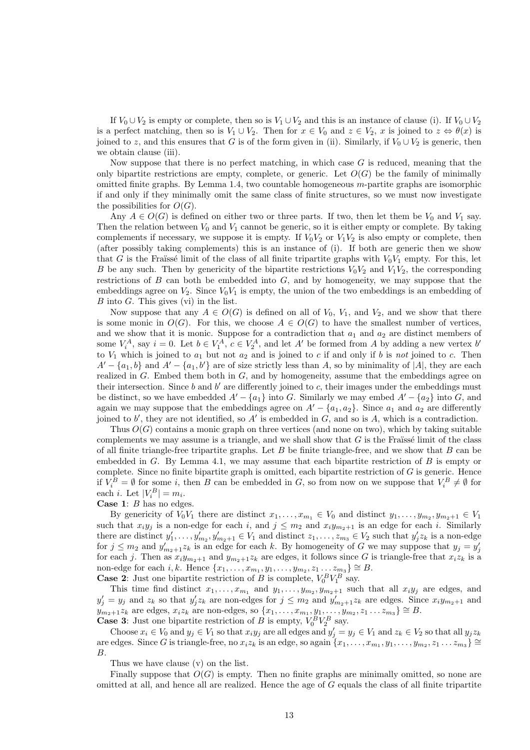If  $V_0 \cup V_2$  is empty or complete, then so is  $V_1 \cup V_2$  and this is an instance of clause (i). If  $V_0 \cup V_2$ is a perfect matching, then so is  $V_1 \cup V_2$ . Then for  $x \in V_0$  and  $z \in V_2$ , x is joined to  $z \Leftrightarrow \theta(x)$  is joined to z, and this ensures that G is of the form given in (ii). Similarly, if  $V_0 \cup V_2$  is generic, then we obtain clause (iii).

Now suppose that there is no perfect matching, in which case  $G$  is reduced, meaning that the only bipartite restrictions are empty, complete, or generic. Let  $O(G)$  be the family of minimally omitted finite graphs. By Lemma 1.4, two countable homogeneous m-partite graphs are isomorphic if and only if they minimally omit the same class of finite structures, so we must now investigate the possibilities for  $O(G)$ .

Any  $A \in O(G)$  is defined on either two or three parts. If two, then let them be  $V_0$  and  $V_1$  say. Then the relation between  $V_0$  and  $V_1$  cannot be generic, so it is either empty or complete. By taking complements if necessary, we suppose it is empty. If  $V_0V_2$  or  $V_1V_2$  is also empty or complete, then (after possibly taking complements) this is an instance of (i). If both are generic then we show that G is the Fraïssé limit of the class of all finite tripartite graphs with  $V_0V_1$  empty. For this, let B be any such. Then by genericity of the bipartite restrictions  $V_0V_2$  and  $V_1V_2$ , the corresponding restrictions of  $B$  can both be embedded into  $G$ , and by homogeneity, we may suppose that the embeddings agree on  $V_2$ . Since  $V_0V_1$  is empty, the union of the two embeddings is an embedding of  $B$  into  $G$ . This gives (vi) in the list.

Now suppose that any  $A \in O(G)$  is defined on all of  $V_0$ ,  $V_1$ , and  $V_2$ , and we show that there is some monic in  $O(G)$ . For this, we choose  $A \in O(G)$  to have the smallest number of vertices, and we show that it is monic. Suppose for a contradiction that  $a_1$  and  $a_2$  are distinct members of some  $V_i^A$ , say  $i = 0$ . Let  $b \in V_1^A$ ,  $c \in V_2^A$ , and let A' be formed from A by adding a new vertex b' to  $V_1$  which is joined to  $a_1$  but not  $a_2$  and is joined to c if and only if b is not joined to c. Then  $A' - \{a_1, b\}$  and  $A' - \{a_1, b'\}$  are of size strictly less than A, so by minimality of |A|, they are each realized in  $G$ . Embed them both in  $G$ , and by homogeneity, assume that the embeddings agree on their intersection. Since  $b$  and  $b'$  are differently joined to  $c$ , their images under the embeddings must be distinct, so we have embedded  $A'-\{a_1\}$  into G. Similarly we may embed  $A'-\{a_2\}$  into G, and again we may suppose that the embeddings agree on  $A' - \{a_1, a_2\}$ . Since  $a_1$  and  $a_2$  are differently joined to  $b'$ , they are not identified, so  $A'$  is embedded in  $G$ , and so is  $A$ , which is a contradiction.

Thus  $O(G)$  contains a monic graph on three vertices (and none on two), which by taking suitable complements we may assume is a triangle, and we shall show that  $G$  is the Fraüssé limit of the class of all finite triangle-free tripartite graphs. Let  $B$  be finite triangle-free, and we show that  $B$  can be embedded in  $G$ . By Lemma 4.1, we may assume that each bipartite restriction of  $B$  is empty or complete. Since no finite bipartite graph is omitted, each bipartite restriction of  $G$  is generic. Hence if  $V_i^B = \emptyset$  for some i, then B can be embedded in G, so from now on we suppose that  $V_i^B \neq \emptyset$  for each *i*. Let  $|V_i^B| = m_i$ .

Case 1: B has no edges.

By genericity of  $V_0V_1$  there are distinct  $x_1, \ldots, x_{m_1} \in V_0$  and distinct  $y_1, \ldots, y_{m_2}, y_{m_2+1} \in V_1$ such that  $x_i y_j$  is a non-edge for each i, and  $j \leq m_2$  and  $x_i y_{m_2+1}$  is an edge for each i. Similarly there are distinct  $y'_1, \ldots, y'_{m_2}, y'_{m_2+1} \in V_1$  and distinct  $z_1, \ldots, z_{m_3} \in V_2$  such that  $y'_j z_k$  is a non-edge for  $j \leq m_2$  and  $y'_{m_2+1}z_k$  is an edge for each k. By homogeneity of G we may suppose that  $y_j = y'_j$ for each j. Then as  $x_iy_{m_2+1}$  and  $y_{m_2+1}z_k$  are edges, it follows since G is triangle-free that  $x_iz_k$  is a non-edge for each i, k. Hence  $\{x_1, \ldots, x_{m_1}, y_1, \ldots, y_{m_2}, z_1 \ldots z_{m_3}\} \cong B$ .

**Case 2:** Just one bipartite restriction of B is complete,  $V_0^B V_1^B$  say.

This time find distinct  $x_1, \ldots, x_{m_1}$  and  $y_1, \ldots, y_{m_2}, y_{m_2+1}$  such that all  $x_i y_j$  are edges, and  $y'_j = y_j$  and  $z_k$  so that  $y'_j z_k$  are non-edges for  $j \leq m_2$  and  $y'_{m_2+1} z_k$  are edges. Since  $x_i y_{m_2+1}$  and  $y_{m_2+1}z_k$  are edges,  $x_iz_k$  are non-edges, so  $\{x_1, \ldots, x_{m_1}, y_1, \ldots, y_{m_2}, z_1 \ldots z_{m_3}\} \cong B$ . **Case 3:** Just one bipartite restriction of B is empty,  $V_0^B V_2^B$  say.

Choose  $x_i \in V_0$  and  $y_j \in V_1$  so that  $x_i y_j$  are all edges and  $y'_j = y_j \in V_1$  and  $z_k \in V_2$  so that all  $y_j z_k$ are edges. Since G is triangle-free, no  $x_iz_k$  is an edge, so again  $\{x_1, \ldots, x_{m_1}, y_1, \ldots, y_{m_2}, z_1 \ldots z_{m_3}\} \cong$ B.

Thus we have clause (v) on the list.

Finally suppose that  $O(G)$  is empty. Then no finite graphs are minimally omitted, so none are omitted at all, and hence all are realized. Hence the age of  $G$  equals the class of all finite tripartite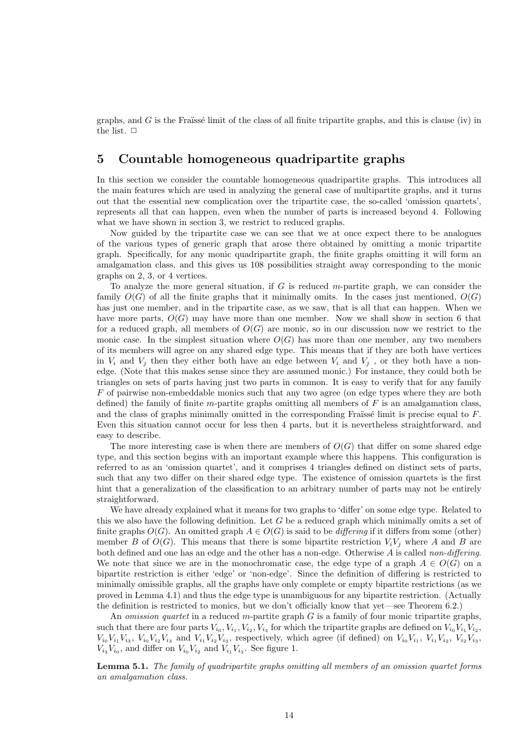graphs, and  $G$  is the Fraüssé limit of the class of all finite tripartite graphs, and this is clause (iv) in the list.  $\Box$ 

### 5 Countable homogeneous quadripartite graphs

In this section we consider the countable homogeneous quadripartite graphs. This introduces all the main features which are used in analyzing the general case of multipartite graphs, and it turns out that the essential new complication over the tripartite case, the so-called 'omission quartets', represents all that can happen, even when the number of parts is increased beyond 4. Following what we have shown in section 3, we restrict to reduced graphs.

Now guided by the tripartite case we can see that we at once expect there to be analogues of the various types of generic graph that arose there obtained by omitting a monic tripartite graph. Specifically, for any monic quadripartite graph, the finite graphs omitting it will form an amalgamation class, and this gives us 108 possibilities straight away corresponding to the monic graphs on 2, 3, or 4 vertices.

To analyze the more general situation, if G is reduced m-partite graph, we can consider the family  $O(G)$  of all the finite graphs that it minimally omits. In the cases just mentioned,  $O(G)$ has just one member, and in the tripartite case, as we saw, that is all that can happen. When we have more parts,  $O(G)$  may have more than one member. Now we shall show in section 6 that for a reduced graph, all members of  $O(G)$  are monic, so in our discussion now we restrict to the monic case. In the simplest situation where  $O(G)$  has more than one member, any two members of its members will agree on any shared edge type. This means that if they are both have vertices in  $V_i$  and  $V_j$  then they either both have an edge between  $V_i$  and  $V_j$ , or they both have a nonedge. (Note that this makes sense since they are assumed monic.) For instance, they could both be triangles on sets of parts having just two parts in common. It is easy to verify that for any family F of pairwise non-embeddable monics such that any two agree (on edge types where they are both defined) the family of finite m-partite graphs omitting all members of  $F$  is an amalgamation class, and the class of graphs minimally omitted in the corresponding Fraïssé limit is precise equal to  $F$ . Even this situation cannot occur for less then 4 parts, but it is nevertheless straightforward, and easy to describe.

The more interesting case is when there are members of  $O(G)$  that differ on some shared edge type, and this section begins with an important example where this happens. This configuration is referred to as an 'omission quartet', and it comprises 4 triangles defined on distinct sets of parts, such that any two differ on their shared edge type. The existence of omission quartets is the first hint that a generalization of the classification to an arbitrary number of parts may not be entirely straightforward.

We have already explained what it means for two graphs to 'differ' on some edge type. Related to this we also have the following definition. Let  $G$  be a reduced graph which minimally omits a set of finite graphs  $O(G)$ . An omitted graph  $A \in O(G)$  is said to be *differing* if it differs from some (other) member B of  $O(G)$ . This means that there is some bipartite restriction  $V_iV_j$  where A and B are both defined and one has an edge and the other has a non-edge. Otherwise  $A$  is called non-differing. We note that since we are in the monochromatic case, the edge type of a graph  $A \in O(G)$  on a bipartite restriction is either 'edge' or 'non-edge'. Since the definition of differing is restricted to minimally omissible graphs, all the graphs have only complete or empty bipartite restrictions (as we proved in Lemma 4.1) and thus the edge type is unambiguous for any bipartite restriction. (Actually the definition is restricted to monics, but we don't officially know that yet—see Theorem 6.2.)

An *omission quartet* in a reduced m-partite graph  $G$  is a family of four monic tripartite graphs, such that there are four parts  $V_{i_0}, V_{i_1}, V_{i_2}, V_{i_3}$  for which the tripartite graphs are defined on  $V_{i_0}V_{i_1}V_{i_2}$ ,  $V_{i_0}V_{i_1}V_{i_3}, V_{i_0}V_{i_2}V_{i_3}$  and  $V_{i_1}V_{i_2}V_{i_3}$ , respectively, which agree (if defined) on  $V_{i_0}V_{i_1}, V_{i_1}V_{i_2}, V_{i_2}V_{i_3}$ ,  $V_{i_3}V_{i_0}$ , and differ on  $V_{i_0}V_{i_2}$  and  $V_{i_1}V_{i_3}$ . See figure 1.

Lemma 5.1. The family of quadripartite graphs omitting all members of an omission quartet forms an amalgamation class.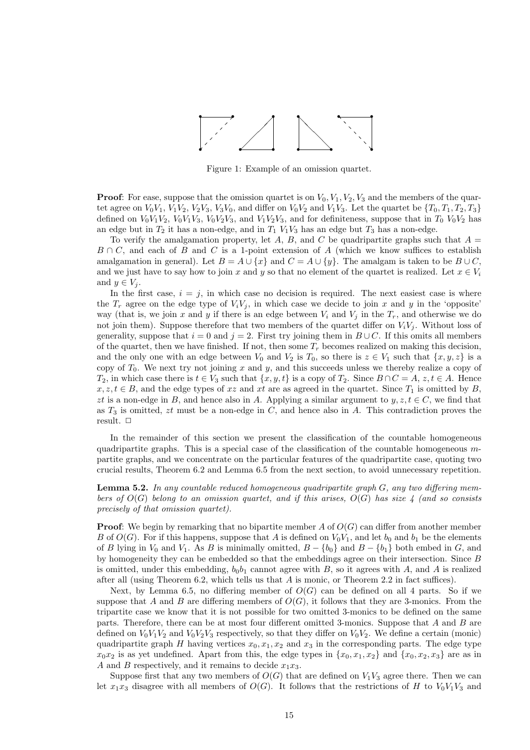

Figure 1: Example of an omission quartet.

**Proof:** For ease, suppose that the omission quartet is on  $V_0, V_1, V_2, V_3$  and the members of the quartet agree on  $V_0V_1$ ,  $V_1V_2$ ,  $V_2V_3$ ,  $V_3V_0$ , and differ on  $V_0V_2$  and  $V_1V_3$ . Let the quartet be  $\{T_0, T_1, T_2, T_3\}$ defined on  $V_0V_1V_2$ ,  $V_0V_1V_3$ ,  $V_0V_2V_3$ , and  $V_1V_2V_3$ , and for definiteness, suppose that in  $T_0$   $V_0V_2$  has an edge but in  $T_2$  it has a non-edge, and in  $T_1$   $V_1V_3$  has an edge but  $T_3$  has a non-edge.

To verify the amalgamation property, let A, B, and C be quadripartite graphs such that  $A =$  $B \cap C$ , and each of B and C is a 1-point extension of A (which we know suffices to establish amalgamation in general). Let  $B = A \cup \{x\}$  and  $C = A \cup \{y\}$ . The amalgam is taken to be  $B \cup C$ , and we just have to say how to join x and y so that no element of the quartet is realized. Let  $x \in V_i$ and  $y \in V_i$ .

In the first case,  $i = j$ , in which case no decision is required. The next easiest case is where the  $T_r$  agree on the edge type of  $V_iV_j$ , in which case we decide to join x and y in the 'opposite' way (that is, we join x and y if there is an edge between  $V_i$  and  $V_j$  in the  $T_r$ , and otherwise we do not join them). Suppose therefore that two members of the quartet differ on  $V_iV_j$ . Without loss of generality, suppose that  $i = 0$  and  $j = 2$ . First try joining them in  $B \cup C$ . If this omits all members of the quartet, then we have finished. If not, then some  $T_r$  becomes realized on making this decision. and the only one with an edge between  $V_0$  and  $V_2$  is  $T_0$ , so there is  $z \in V_1$  such that  $\{x, y, z\}$  is a copy of  $T_0$ . We next try not joining x and y, and this succeeds unless we thereby realize a copy of  $T_2$ , in which case there is  $t \in V_3$  such that  $\{x, y, t\}$  is a copy of  $T_2$ . Since  $B \cap C = A$ ,  $z, t \in A$ . Hence  $x, z, t \in B$ , and the edge types of xz and xt are as agreed in the quartet. Since  $T_1$  is omitted by B, zt is a non-edge in B, and hence also in A. Applying a similar argument to  $y, z, t \in C$ , we find that as  $T_3$  is omitted,  $zt$  must be a non-edge in  $C$ , and hence also in  $A$ . This contradiction proves the result.  $\Box$ 

In the remainder of this section we present the classification of the countable homogeneous quadripartite graphs. This is a special case of the classification of the countable homogeneous  $m$ partite graphs, and we concentrate on the particular features of the quadripartite case, quoting two crucial results, Theorem 6.2 and Lemma 6.5 from the next section, to avoid unnecessary repetition.

**Lemma 5.2.** In any countable reduced homogeneous quadripartite graph  $G$ , any two differing members of  $O(G)$  belong to an omission quartet, and if this arises,  $O(G)$  has size 4 (and so consists precisely of that omission quartet).

**Proof:** We begin by remarking that no bipartite member A of  $O(G)$  can differ from another member B of  $O(G)$ . For if this happens, suppose that A is defined on  $V_0V_1$ , and let  $b_0$  and  $b_1$  be the elements of B lying in  $V_0$  and  $V_1$ . As B is minimally omitted,  $B - \{b_0\}$  and  $B - \{b_1\}$  both embed in G, and by homogeneity they can be embedded so that the embeddings agree on their intersection. Since B is omitted, under this embedding,  $b_0b_1$  cannot agree with B, so it agrees with A, and A is realized after all (using Theorem 6.2, which tells us that  $A$  is monic, or Theorem 2.2 in fact suffices).

Next, by Lemma 6.5, no differing member of  $O(G)$  can be defined on all 4 parts. So if we suppose that A and B are differing members of  $O(G)$ , it follows that they are 3-monics. From the tripartite case we know that it is not possible for two omitted 3-monics to be defined on the same parts. Therefore, there can be at most four different omitted 3-monics. Suppose that A and B are defined on  $V_0V_1V_2$  and  $V_0V_2V_3$  respectively, so that they differ on  $V_0V_2$ . We define a certain (monic) quadripartite graph H having vertices  $x_0, x_1, x_2$  and  $x_3$  in the corresponding parts. The edge type  $x_0x_2$  is as yet undefined. Apart from this, the edge types in  $\{x_0, x_1, x_2\}$  and  $\{x_0, x_2, x_3\}$  are as in A and B respectively, and it remains to decide  $x_1x_3$ .

Suppose first that any two members of  $O(G)$  that are defined on  $V_1V_3$  agree there. Then we can let  $x_1x_3$  disagree with all members of  $O(G)$ . It follows that the restrictions of H to  $V_0V_1V_3$  and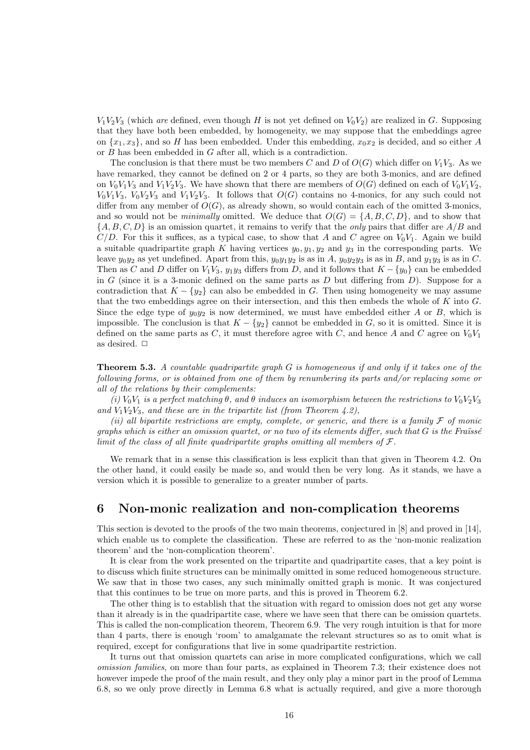$V_1V_2V_3$  (which are defined, even though H is not yet defined on  $V_0V_2$ ) are realized in G. Supposing that they have both been embedded, by homogeneity, we may suppose that the embeddings agree on  $\{x_1, x_3\}$ , and so H has been embedded. Under this embedding,  $x_0x_2$  is decided, and so either A or B has been embedded in G after all, which is a contradiction.

The conclusion is that there must be two members C and D of  $O(G)$  which differ on  $V_1V_3$ . As we have remarked, they cannot be defined on 2 or 4 parts, so they are both 3-monics, and are defined on  $V_0V_1V_3$  and  $V_1V_2V_3$ . We have shown that there are members of  $O(G)$  defined on each of  $V_0V_1V_2$ ,  $V_0V_1V_3$ ,  $V_0V_2V_3$  and  $V_1V_2V_3$ . It follows that  $O(G)$  contains no 4-monics, for any such could not differ from any member of  $O(G)$ , as already shown, so would contain each of the omitted 3-monics, and so would not be *minimally* omitted. We deduce that  $O(G) = \{A, B, C, D\}$ , and to show that  $\{A, B, C, D\}$  is an omission quartet, it remains to verify that the *only* pairs that differ are  $A/B$  and  $C/D$ . For this it suffices, as a typical case, to show that A and C agree on  $V_0V_1$ . Again we build a suitable quadripartite graph K having vertices  $y_0, y_1, y_2$  and  $y_3$  in the corresponding parts. We leave  $y_0y_2$  as yet undefined. Apart from this,  $y_0y_1y_2$  is as in A,  $y_0y_2y_3$  is as in B, and  $y_1y_3$  is as in C. Then as C and D differ on  $V_1V_3$ ,  $y_1y_3$  differs from D, and it follows that  $K - \{y_0\}$  can be embedded in G (since it is a 3-monic defined on the same parts as  $D$  but differing from  $D$ ). Suppose for a contradiction that  $K - \{y_2\}$  can also be embedded in G. Then using homogeneity we may assume that the two embeddings agree on their intersection, and this then embeds the whole of  $K$  into  $G$ . Since the edge type of  $y_0y_2$  is now determined, we must have embedded either A or B, which is impossible. The conclusion is that  $K - \{y_2\}$  cannot be embedded in G, so it is omitted. Since it is defined on the same parts as  $C$ , it must therefore agree with  $C$ , and hence A and  $C$  agree on  $V_0V_1$ as desired.  $\Box$ 

**Theorem 5.3.** A countable quadripartite graph  $G$  is homogeneous if and only if it takes one of the following forms, or is obtained from one of them by renumbering its parts and/or replacing some or all of the relations by their complements:

(i)  $V_0V_1$  is a perfect matching  $\theta$ , and  $\theta$  induces an isomorphism between the restrictions to  $V_0V_2V_3$ and  $V_1V_2V_3$ , and these are in the tripartite list (from Theorem 4.2),

(ii) all bipartite restrictions are empty, complete, or generic, and there is a family  $\mathcal F$  of monic graphs which is either an omission quartet, or no two of its elements differ, such that  $G$  is the Fraüssé limit of the class of all finite quadripartite graphs omitting all members of  $\mathcal{F}.$ 

We remark that in a sense this classification is less explicit than that given in Theorem 4.2. On the other hand, it could easily be made so, and would then be very long. As it stands, we have a version which it is possible to generalize to a greater number of parts.

## 6 Non-monic realization and non-complication theorems

This section is devoted to the proofs of the two main theorems, conjectured in [8] and proved in [14], which enable us to complete the classification. These are referred to as the 'non-monic realization theorem' and the 'non-complication theorem'.

It is clear from the work presented on the tripartite and quadripartite cases, that a key point is to discuss which finite structures can be minimally omitted in some reduced homogeneous structure. We saw that in those two cases, any such minimally omitted graph is monic. It was conjectured that this continues to be true on more parts, and this is proved in Theorem 6.2.

The other thing is to establish that the situation with regard to omission does not get any worse than it already is in the quadripartite case, where we have seen that there can be omission quartets. This is called the non-complication theorem, Theorem 6.9. The very rough intuition is that for more than 4 parts, there is enough 'room' to amalgamate the relevant structures so as to omit what is required, except for configurations that live in some quadripartite restriction.

It turns out that omission quartets can arise in more complicated configurations, which we call omission families, on more than four parts, as explained in Theorem 7.3; their existence does not however impede the proof of the main result, and they only play a minor part in the proof of Lemma 6.8, so we only prove directly in Lemma 6.8 what is actually required, and give a more thorough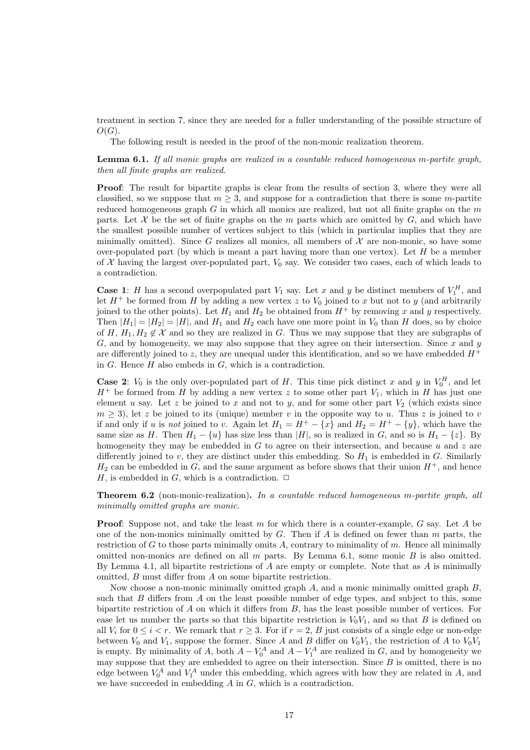treatment in section 7, since they are needed for a fuller understanding of the possible structure of  $O(G).$ 

The following result is needed in the proof of the non-monic realization theorem.

Lemma 6.1. If all monic graphs are realized in a countable reduced homogeneous m-partite graph, then all finite graphs are realized.

**Proof:** The result for bipartite graphs is clear from the results of section 3, where they were all classified, so we suppose that  $m \geq 3$ , and suppose for a contradiction that there is some m-partite reduced homogeneous graph  $G$  in which all monics are realized, but not all finite graphs on the  $m$ parts. Let  $\mathcal X$  be the set of finite graphs on the m parts which are omitted by  $G$ , and which have the smallest possible number of vertices subject to this (which in particular implies that they are minimally omitted). Since G realizes all monics, all members of  $\mathcal X$  are non-monic, so have some over-populated part (by which is meant a part having more than one vertex). Let  $H$  be a member of X having the largest over-populated part,  $V_0$  say. We consider two cases, each of which leads to a contradiction.

**Case 1:** H has a second overpopulated part  $V_1$  say. Let x and y be distinct members of  $V_1^H$ , and let  $H^+$  be formed from H by adding a new vertex z to  $V_0$  joined to x but not to y (and arbitrarily joined to the other points). Let  $H_1$  and  $H_2$  be obtained from  $H^+$  by removing x and y respectively. Then  $|H_1| = |H_2| = |H|$ , and  $H_1$  and  $H_2$  each have one more point in  $V_0$  than H does, so by choice of H,  $H_1, H_2 \notin \mathcal{X}$  and so they are realized in G. Thus we may suppose that they are subgraphs of  $G$ , and by homogeneity, we may also suppose that they agree on their intersection. Since  $x$  and  $y$ are differently joined to z, they are unequal under this identification, and so we have embedded  $H^+$ in  $G$ . Hence  $H$  also embeds in  $G$ , which is a contradiction.

**Case 2:**  $V_0$  is the only over-populated part of H. This time pick distinct x and y in  $V_0^H$ , and let  $H^+$  be formed from H by adding a new vertex z to some other part  $V_1$ , which in H has just one element u say. Let z be joined to x and not to y, and for some other part  $V_2$  (which exists since  $m \geq 3$ ), let z be joined to its (unique) member v in the opposite way to u. Thus z is joined to v if and only if u is not joined to v. Again let  $H_1 = H^+ - \{x\}$  and  $H_2 = H^+ - \{y\}$ , which have the same size as H. Then  $H_1 - \{u\}$  has size less than  $|H|$ , so is realized in G, and so is  $H_1 - \{z\}$ . By homogeneity they may be embedded in  $G$  to agree on their intersection, and because  $u$  and  $z$  are differently joined to v, they are distinct under this embedding. So  $H_1$  is embedded in G. Similarly  $H_2$  can be embedded in G, and the same argument as before shows that their union  $H^+$ , and hence H, is embedded in G, which is a contradiction.  $\Box$ 

Theorem 6.2 (non-monic-realization). In a countable reduced homogeneous m-partite graph, all minimally omitted graphs are monic.

**Proof:** Suppose not, and take the least m for which there is a counter-example,  $G$  say. Let  $A$  be one of the non-monics minimally omitted by  $G$ . Then if  $A$  is defined on fewer than  $m$  parts, the restriction of  $G$  to those parts minimally omits  $A$ , contrary to minimality of  $m$ . Hence all minimally omitted non-monics are defined on all  $m$  parts. By Lemma 6.1, some monic  $B$  is also omitted. By Lemma 4.1, all bipartite restrictions of  $A$  are empty or complete. Note that as  $A$  is minimally omitted, B must differ from A on some bipartite restriction.

Now choose a non-monic minimally omitted graph  $A$ , and a monic minimally omitted graph  $B$ , such that  $B$  differs from  $A$  on the least possible number of edge types, and subject to this, some bipartite restriction of  $A$  on which it differs from  $B$ , has the least possible number of vertices. For ease let us number the parts so that this bipartite restriction is  $V_0V_1$ , and so that B is defined on all  $V_i$  for  $0 \le i < r$ . We remark that  $r \ge 3$ . For if  $r = 2$ , B just consists of a single edge or non-edge between  $V_0$  and  $V_1$ , suppose the former. Since A and B differ on  $V_0V_1$ , the restriction of A to  $V_0V_1$ is empty. By minimality of A, both  $A - V_0^A$  and  $A - V_1^A$  are realized in G, and by homogeneity we may suppose that they are embedded to agree on their intersection. Since  $B$  is omitted, there is no edge between  $V_0^A$  and  $V_1^A$  under this embedding, which agrees with how they are related in A, and we have succeeded in embedding A in G, which is a contradiction.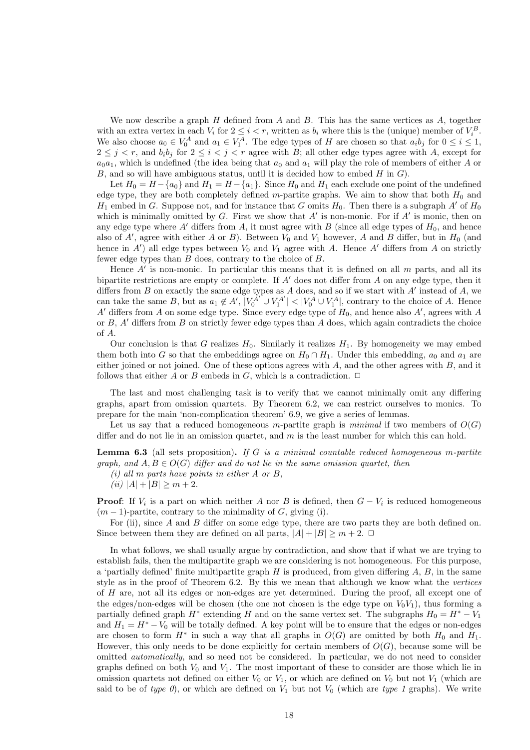We now describe a graph  $H$  defined from  $A$  and  $B$ . This has the same vertices as  $A$ , together with an extra vertex in each  $V_i$  for  $2 \leq i < r$ , written as  $b_i$  where this is the (unique) member of  $V_i^B$ . We also choose  $a_0 \in V_0^A$  and  $a_1 \in V_1^A$ . The edge types of H are chosen so that  $a_i b_j$  for  $0 \le i \le 1$ ,  $2 \leq j \leq r$ , and  $b_i b_j$  for  $2 \leq i \leq j \leq r$  agree with B; all other edge types agree with A, except for  $a_0a_1$ , which is undefined (the idea being that  $a_0$  and  $a_1$  will play the role of members of either A or  $B$ , and so will have ambiguous status, until it is decided how to embed  $H$  in  $G$ ).

Let  $H_0 = H - \{a_0\}$  and  $H_1 = H - \{a_1\}$ . Since  $H_0$  and  $H_1$  each exclude one point of the undefined edge type, they are both completely defined m-partite graphs. We aim to show that both  $H_0$  and  $H_1$  embed in G. Suppose not, and for instance that G omits  $H_0$ . Then there is a subgraph A' of  $H_0$ which is minimally omitted by  $G$ . First we show that  $A'$  is non-monic. For if  $A'$  is monic, then on any edge type where A' differs from A, it must agree with B (since all edge types of  $H_0$ , and hence also of  $A'$ , agree with either A or B). Between  $V_0$  and  $V_1$  however, A and B differ, but in  $H_0$  (and hence in  $A'$ ) all edge types between  $V_0$  and  $V_1$  agree with A. Hence  $A'$  differs from A on strictly fewer edge types than B does, contrary to the choice of B.

Hence  $A'$  is non-monic. In particular this means that it is defined on all  $m$  parts, and all its bipartite restrictions are empty or complete. If  $A'$  does not differ from A on any edge type, then it differs from  $B$  on exactly the same edge types as  $A$  does, and so if we start with  $A'$  instead of  $A$ , we can take the same B, but as  $a_1 \notin A'$ ,  $|V_0^{A'} \cup V_1^{A'}| < |V_0^A \cup V_1^A|$ , contrary to the choice of A. Hence A' differs from A on some edge type. Since every edge type of  $H_0$ , and hence also A', agrees with A or  $B$ ,  $A'$  differs from  $B$  on strictly fewer edge types than  $A$  does, which again contradicts the choice of A.

Our conclusion is that G realizes  $H_0$ . Similarly it realizes  $H_1$ . By homogeneity we may embed them both into G so that the embeddings agree on  $H_0 \cap H_1$ . Under this embedding,  $a_0$  and  $a_1$  are either joined or not joined. One of these options agrees with  $A$ , and the other agrees with  $B$ , and it follows that either A or B embeds in G, which is a contradiction.  $\Box$ 

The last and most challenging task is to verify that we cannot minimally omit any differing graphs, apart from omission quartets. By Theorem 6.2, we can restrict ourselves to monics. To prepare for the main 'non-complication theorem' 6.9, we give a series of lemmas.

Let us say that a reduced homogeneous m-partite graph is minimal if two members of  $O(G)$ differ and do not lie in an omission quartet, and  $m$  is the least number for which this can hold.

**Lemma 6.3** (all sets proposition). If G is a minimal countable reduced homogeneous m-partite graph, and  $A, B \in O(G)$  differ and do not lie in the same omission quartet, then

- $(i)$  all m parts have points in either A or B,
- (ii)  $|A| + |B| \ge m + 2$ .

**Proof:** If  $V_i$  is a part on which neither A nor B is defined, then  $G - V_i$  is reduced homogeneous  $(m-1)$ -partite, contrary to the minimality of G, giving (i).

For (ii), since A and B differ on some edge type, there are two parts they are both defined on. Since between them they are defined on all parts,  $|A| + |B| \ge m + 2$ .  $\Box$ 

In what follows, we shall usually argue by contradiction, and show that if what we are trying to establish fails, then the multipartite graph we are considering is not homogeneous. For this purpose, a 'partially defined' finite multipartite graph  $H$  is produced, from given differing  $A, B$ , in the same style as in the proof of Theorem 6.2. By this we mean that although we know what the vertices of H are, not all its edges or non-edges are yet determined. During the proof, all except one of the edges/non-edges will be chosen (the one not chosen is the edge type on  $V_0V_1$ ), thus forming a partially defined graph  $H^*$  extending H and on the same vertex set. The subgraphs  $H_0 = H^* - V_1$ and  $H_1 = H^* - V_0$  will be totally defined. A key point will be to ensure that the edges or non-edges are chosen to form  $H^*$  in such a way that all graphs in  $O(G)$  are omitted by both  $H_0$  and  $H_1$ . However, this only needs to be done explicitly for certain members of  $O(G)$ , because some will be omitted automatically, and so need not be considered. In particular, we do not need to consider graphs defined on both  $V_0$  and  $V_1$ . The most important of these to consider are those which lie in omission quartets not defined on either  $V_0$  or  $V_1$ , or which are defined on  $V_0$  but not  $V_1$  (which are said to be of type 0), or which are defined on  $V_1$  but not  $V_0$  (which are type 1 graphs). We write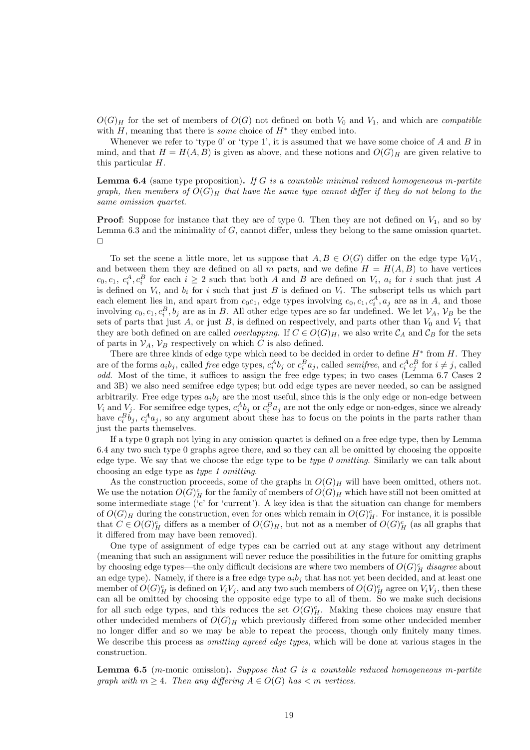$O(G)_H$  for the set of members of  $O(G)$  not defined on both  $V_0$  and  $V_1$ , and which are *compatible* with  $H$ , meaning that there is *some* choice of  $H^*$  they embed into.

Whenever we refer to 'type 0' or 'type 1', it is assumed that we have some choice of  $A$  and  $B$  in mind, and that  $H = H(A, B)$  is given as above, and these notions and  $O(G)_H$  are given relative to this particular H.

**Lemma 6.4** (same type proposition). If G is a countable minimal reduced homogeneous m-partite graph, then members of  $O(G)_H$  that have the same type cannot differ if they do not belong to the same omission quartet.

**Proof:** Suppose for instance that they are of type 0. Then they are not defined on  $V_1$ , and so by Lemma 6.3 and the minimality of G, cannot differ, unless they belong to the same omission quartet.  $\Box$ 

To set the scene a little more, let us suppose that  $A, B \in O(G)$  differ on the edge type  $V_0V_1$ , and between them they are defined on all m parts, and we define  $H = H(A, B)$  to have vertices  $c_0, c_1, c_i^A, c_i^B$  for each  $i \geq 2$  such that both A and B are defined on  $V_i$ ,  $a_i$  for i such that just A is defined on  $V_i$ , and  $b_i$  for i such that just B is defined on  $V_i$ . The subscript tells us which part each element lies in, and apart from  $c_0c_1$ , edge types involving  $c_0, c_1, c_i^A, a_j$  are as in A, and those involving  $c_0, c_1, c_i^B, b_j$  are as in B. All other edge types are so far undefined. We let  $\mathcal{V}_A$ ,  $\mathcal{V}_B$  be the sets of parts that just A, or just B, is defined on respectively, and parts other than  $V_0$  and  $V_1$  that they are both defined on are called *overlapping*. If  $C \in O(G)_H$ , we also write  $\mathcal{C}_A$  and  $\mathcal{C}_B$  for the sets of parts in  $V_A$ ,  $V_B$  respectively on which C is also defined.

There are three kinds of edge type which need to be decided in order to define  $H^*$  from  $H$ . They are of the forms  $a_i b_j$ , called *free* edge types,  $c_i^A b_j$  or  $c_i^B a_j$ , called *semifree*, and  $c_i^A c_j^B$  for  $i \neq j$ , called odd. Most of the time, it suffices to assign the free edge types; in two cases (Lemma 6.7 Cases 2 and 3B) we also need semifree edge types; but odd edge types are never needed, so can be assigned arbitrarily. Free edge types  $a_i b_i$  are the most useful, since this is the only edge or non-edge between  $V_i$  and  $V_j$ . For semifree edge types,  $c_i^A b_j$  or  $c_i^B a_j$  are not the only edge or non-edges, since we already have  $c_i^B b_j$ ,  $c_i^A a_j$ , so any argument about these has to focus on the points in the parts rather than just the parts themselves.

If a type 0 graph not lying in any omission quartet is defined on a free edge type, then by Lemma 6.4 any two such type 0 graphs agree there, and so they can all be omitted by choosing the opposite edge type. We say that we choose the edge type to be *type 0 omitting*. Similarly we can talk about choosing an edge type as type 1 omitting.

As the construction proceeds, some of the graphs in  $O(G)_H$  will have been omitted, others not. We use the notation  $O(G)_H^c$  for the family of members of  $O(G)_H$  which have still not been omitted at some intermediate stage ( $c$  for 'current'). A key idea is that the situation can change for members of  $O(G)_H$  during the construction, even for ones which remain in  $O(G)_H^c$ . For instance, it is possible that  $C \in O(G)_H^c$  differs as a member of  $O(G)_H$ , but not as a member of  $O(G)_H^c$  (as all graphs that it differed from may have been removed).

One type of assignment of edge types can be carried out at any stage without any detriment (meaning that such an assignment will never reduce the possibilities in the future for omitting graphs by choosing edge types—the only difficult decisions are where two members of  $O(G)^c_H$  disagree about an edge type). Namely, if there is a free edge type  $a_i b_j$  that has not yet been decided, and at least one member of  $O(G)<sup>c</sup><sub>H</sub>$  is defined on  $V_iV_j$ , and any two such members of  $O(G)<sup>c</sup><sub>H</sub>$  agree on  $V_iV_j$ , then these can all be omitted by choosing the opposite edge type to all of them. So we make such decisions for all such edge types, and this reduces the set  $O(G)_H^c$ . Making these choices may ensure that other undecided members of  $O(G)_H$  which previously differed from some other undecided member no longer differ and so we may be able to repeat the process, though only finitely many times. We describe this process as *omitting agreed edge types*, which will be done at various stages in the construction.

**Lemma 6.5** (m-monic omission). Suppose that G is a countable reduced homogeneous m-partite graph with  $m \geq 4$ . Then any differing  $A \in O(G)$  has  $\lt m$  vertices.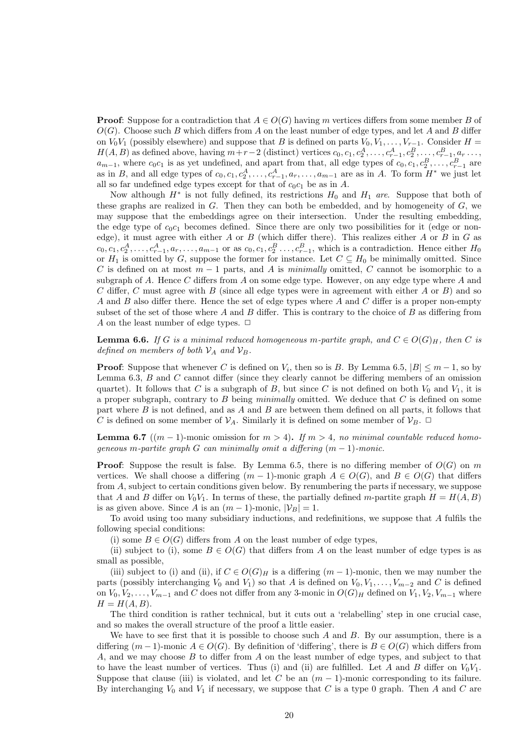**Proof:** Suppose for a contradiction that  $A \in O(G)$  having m vertices differs from some member B of  $O(G)$ . Choose such B which differs from A on the least number of edge types, and let A and B differ on  $V_0V_1$  (possibly elsewhere) and suppose that B is defined on parts  $V_0, V_1, \ldots, V_{r-1}$ . Consider  $H =$  $H(A, B)$  as defined above, having  $m+r-2$  (distinct) vertices  $c_0, c_1, c_2^A, \ldots, c_{r-1}^A, c_2^B, \ldots, c_{r-1}^B, a_r \ldots$  $a_{m-1}$ , where  $c_0c_1$  is as yet undefined, and apart from that, all edge types of  $c_0, c_1, c_2^B, \ldots, c_{r-1}^B$  are as in B, and all edge types of  $c_0, c_1, c_2^A, \ldots, c_{r-1}^A, a_r, \ldots, a_{m-1}$  are as in A. To form  $H^*$  we just let all so far undefined edge types except for that of  $c_0c_1$  be as in A.

Now although  $H^*$  is not fully defined, its restrictions  $H_0$  and  $H_1$  are. Suppose that both of these graphs are realized in  $G$ . Then they can both be embedded, and by homogeneity of  $G$ , we may suppose that the embeddings agree on their intersection. Under the resulting embedding, the edge type of  $c_0c_1$  becomes defined. Since there are only two possibilities for it (edge or nonedge), it must agree with either  $A$  or  $B$  (which differ there). This realizes either  $A$  or  $B$  in  $G$  as  $c_0, c_1, c_2^A, \ldots, c_{r-1}^A, a_r, \ldots, a_{m-1}$  or as  $c_0, c_1, c_2^B, \ldots, c_{r-1}^B$ , which is a contradiction. Hence either  $H_0$ or  $H_1$  is omitted by G, suppose the former for instance. Let  $C \subseteq H_0$  be minimally omitted. Since C is defined on at most  $m-1$  parts, and A is minimally omitted, C cannot be isomorphic to a subgraph of A. Hence C differs from A on some edge type. However, on any edge type where A and C differ, C must agree with B (since all edge types were in agreement with either A or B) and so A and B also differ there. Hence the set of edge types where A and C differ is a proper non-empty subset of the set of those where  $A$  and  $B$  differ. This is contrary to the choice of  $B$  as differing from A on the least number of edge types.  $\Box$ 

**Lemma 6.6.** If G is a minimal reduced homogeneous m-partite graph, and  $C \in O(G)_H$ , then C is defined on members of both  $\mathcal{V}_A$  and  $\mathcal{V}_B$ .

**Proof:** Suppose that whenever C is defined on  $V_i$ , then so is B. By Lemma 6.5,  $|B| \leq m-1$ , so by Lemma 6.3,  $B$  and  $C$  cannot differ (since they clearly cannot be differing members of an omission quartet). It follows that C is a subgraph of B, but since C is not defined on both  $V_0$  and  $V_1$ , it is a proper subgraph, contrary to  $B$  being minimally omitted. We deduce that  $C$  is defined on some part where  $B$  is not defined, and as  $A$  and  $B$  are between them defined on all parts, it follows that C is defined on some member of  $\mathcal{V}_A$ . Similarly it is defined on some member of  $\mathcal{V}_B$ .  $\Box$ 

**Lemma 6.7** ((m − 1)-monic omission for  $m > 4$ ). If  $m > 4$ , no minimal countable reduced homogeneous m-partite graph G can minimally omit a differing  $(m-1)$ -monic.

**Proof:** Suppose the result is false. By Lemma 6.5, there is no differing member of  $O(G)$  on m vertices. We shall choose a differing  $(m-1)$ -monic graph  $A \in O(G)$ , and  $B \in O(G)$  that differs from A, subject to certain conditions given below. By renumbering the parts if necessary, we suppose that A and B differ on  $V_0V_1$ . In terms of these, the partially defined m-partite graph  $H = H(A, B)$ is as given above. Since A is an  $(m-1)$ -monic,  $|\mathcal{V}_B| = 1$ .

To avoid using too many subsidiary inductions, and redefinitions, we suppose that A fulfils the following special conditions:

(i) some  $B \in O(G)$  differs from A on the least number of edge types,

(ii) subject to (i), some  $B \in O(G)$  that differs from A on the least number of edge types is as small as possible,

(iii) subject to (i) and (ii), if  $C \in O(G)_H$  is a differing  $(m-1)$ -monic, then we may number the parts (possibly interchanging  $V_0$  and  $V_1$ ) so that A is defined on  $V_0, V_1, \ldots, V_{m-2}$  and C is defined on  $V_0, V_2, \ldots, V_{m-1}$  and C does not differ from any 3-monic in  $O(G)_H$  defined on  $V_1, V_2, V_{m-1}$  where  $H = H(A, B).$ 

The third condition is rather technical, but it cuts out a 'relabelling' step in one crucial case, and so makes the overall structure of the proof a little easier.

We have to see first that it is possible to choose such  $A$  and  $B$ . By our assumption, there is a differing  $(m-1)$ -monic  $A \in O(G)$ . By definition of 'differing', there is  $B \in O(G)$  which differs from A, and we may choose B to differ from A on the least number of edge types, and subject to that to have the least number of vertices. Thus (i) and (ii) are fulfilled. Let A and B differ on  $V_0V_1$ . Suppose that clause (iii) is violated, and let C be an  $(m-1)$ -monic corresponding to its failure. By interchanging  $V_0$  and  $V_1$  if necessary, we suppose that C is a type 0 graph. Then A and C are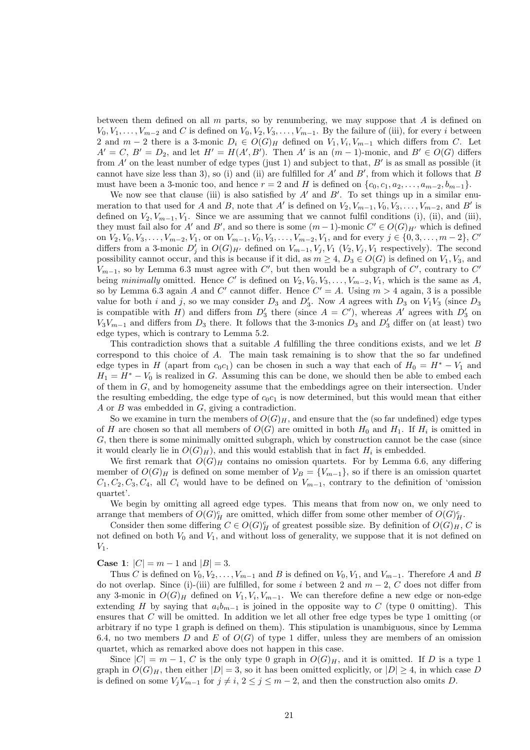between them defined on all  $m$  parts, so by renumbering, we may suppose that  $A$  is defined on  $V_0, V_1, \ldots, V_{m-2}$  and C is defined on  $V_0, V_2, V_3, \ldots, V_{m-1}$ . By the failure of (iii), for every i between 2 and  $m-2$  there is a 3-monic  $D_i \in O(G)_H$  defined on  $V_1, V_i, V_{m-1}$  which differs from C. Let  $A' = C, B' = D_2$ , and let  $H' = H(A', B')$ . Then A' is an  $(m-1)$ -monic, and  $B' \in O(G)$  differs from  $A'$  on the least number of edge types (just 1) and subject to that,  $B'$  is as small as possible (it cannot have size less than 3), so (i) and (ii) are fulfilled for  $A'$  and  $B'$ , from which it follows that  $B$ must have been a 3-monic too, and hence  $r = 2$  and H is defined on  $\{c_0, c_1, a_2, \ldots, a_{m-2}, b_{m-1}\}.$ 

We now see that clause (iii) is also satisfied by  $A'$  and  $B'$ . To set things up in a similar enumeration to that used for A and B, note that A' is defined on  $V_2$ ,  $V_{m-1}$ ,  $V_0$ ,  $V_3$ , ...,  $V_{m-2}$ , and B' is defined on  $V_2, V_{m-1}, V_1$ . Since we are assuming that we cannot fulfil conditions (i), (ii), and (iii), they must fail also for A' and B', and so there is some  $(m-1)$ -monic  $C' \in O(G)_{H'}$  which is defined on  $V_2, V_0, V_3, \ldots, V_{m-2}, V_1$ , or on  $V_{m-1}, V_0, V_3, \ldots, V_{m-2}, V_1$ , and for every  $j \in \{0, 3, \ldots, m-2\}$ , C' differs from a 3-monic  $D'_j$  in  $O(G)_{H'}$  defined on  $V_{m-1}, V_j, V_1$   $(V_2, V_j, V_1)$  respectively). The second possibility cannot occur, and this is because if it did, as  $m \geq 4$ ,  $D_3 \in O(G)$  is defined on  $V_1, V_3$ , and  $V_{m-1}$ , so by Lemma 6.3 must agree with  $C'$ , but then would be a subgraph of  $C'$ , contrary to  $C'$ being minimally omitted. Hence C' is defined on  $V_2, V_0, V_3, \ldots, V_{m-2}, V_1$ , which is the same as A, so by Lemma 6.3 again A and C' cannot differ. Hence  $C' = A$ . Using  $m > 4$  again, 3 is a possible value for both i and j, so we may consider  $D_3$  and  $D'_3$ . Now A agrees with  $D_3$  on  $V_1V_3$  (since  $D_3$ is compatible with H) and differs from  $D'_3$  there (since  $A = C'$ ), whereas A' agrees with  $D'_3$  on  $V_3V_{m-1}$  and differs from  $D_3$  there. It follows that the 3-monics  $D_3$  and  $D'_3$  differ on (at least) two edge types, which is contrary to Lemma 5.2.

This contradiction shows that a suitable A fulfilling the three conditions exists, and we let B correspond to this choice of A. The main task remaining is to show that the so far undefined edge types in H (apart from  $c_0c_1$ ) can be chosen in such a way that each of  $H_0 = H^* - V_1$  and  $H_1 = H^* - V_0$  is realized in G. Assuming this can be done, we should then be able to embed each of them in G, and by homogeneity assume that the embeddings agree on their intersection. Under the resulting embedding, the edge type of  $c_0c_1$  is now determined, but this would mean that either A or B was embedded in G, giving a contradiction.

So we examine in turn the members of  $O(G)_H$ , and ensure that the (so far undefined) edge types of H are chosen so that all members of  $O(G)$  are omitted in both  $H_0$  and  $H_1$ . If  $H_i$  is omitted in G, then there is some minimally omitted subgraph, which by construction cannot be the case (since it would clearly lie in  $O(G)_H$ ), and this would establish that in fact  $H_i$  is embedded.

We first remark that  $O(G)_H$  contains no omission quartets. For by Lemma 6.6, any differing member of  $O(G)_H$  is defined on some member of  $\mathcal{V}_B = \{V_{m-1}\}\$ , so if there is an omission quartet  $C_1, C_2, C_3, C_4$ , all  $C_i$  would have to be defined on  $V_{m-1}$ , contrary to the definition of 'omission quartet'.

We begin by omitting all agreed edge types. This means that from now on, we only need to arrange that members of  $O(G)<sub>H</sub><sup>c</sup>$  are omitted, which differ from some other member of  $O(G)<sub>H</sub><sup>c</sup>$ .

Consider then some differing  $C \in O(G)_H^c$  of greatest possible size. By definition of  $O(G)_H$ , C is not defined on both  $V_0$  and  $V_1$ , and without loss of generality, we suppose that it is not defined on  $V_1$ .

**Case 1:**  $|C| = m - 1$  and  $|B| = 3$ .

Thus C is defined on  $V_0, V_2, \ldots, V_{m-1}$  and B is defined on  $V_0, V_1$ , and  $V_{m-1}$ . Therefore A and B do not overlap. Since (i)-(iii) are fulfilled, for some i between 2 and  $m-2$ , C does not differ from any 3-monic in  $O(G)_H$  defined on  $V_1, V_i, V_{m-1}$ . We can therefore define a new edge or non-edge extending H by saying that  $a_i b_{m-1}$  is joined in the opposite way to C (type 0 omitting). This ensures that  $C$  will be omitted. In addition we let all other free edge types be type 1 omitting (or arbitrary if no type 1 graph is defined on them). This stipulation is unambiguous, since by Lemma 6.4, no two members D and E of  $O(G)$  of type 1 differ, unless they are members of an omission quartet, which as remarked above does not happen in this case.

Since  $|C| = m - 1$ , C is the only type 0 graph in  $O(G)_H$ , and it is omitted. If D is a type 1 graph in  $O(G)_H$ , then either  $|D|=3$ , so it has been omitted explicitly, or  $|D|\geq 4$ , in which case D is defined on some  $V_jV_{m-1}$  for  $j \neq i, 2 \leq j \leq m-2$ , and then the construction also omits D.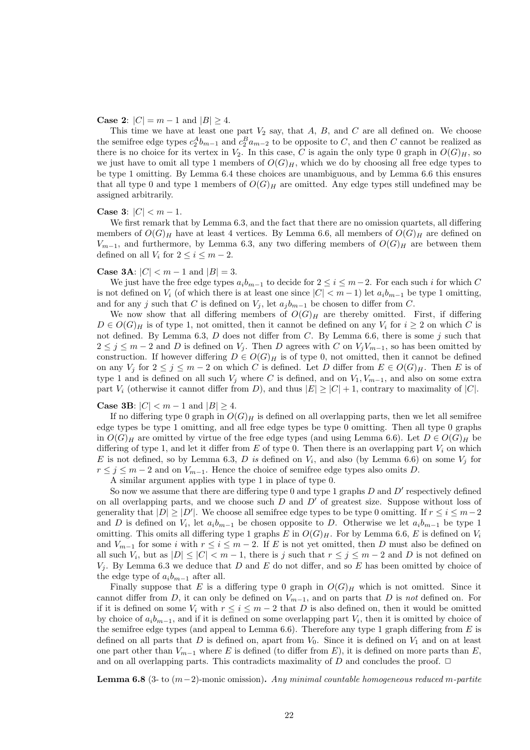**Case 2:**  $|C| = m - 1$  and  $|B| \ge 4$ .

This time we have at least one part  $V_2$  say, that  $A, B$ , and  $C$  are all defined on. We choose the semifree edge types  $c_2^A b_{m-1}$  and  $c_2^B a_{m-2}$  to be opposite to C, and then C cannot be realized as there is no choice for its vertex in  $V_2$ . In this case, C is again the only type 0 graph in  $O(G)_H$ , so we just have to omit all type 1 members of  $O(G)_H$ , which we do by choosing all free edge types to be type 1 omitting. By Lemma 6.4 these choices are unambiguous, and by Lemma 6.6 this ensures that all type 0 and type 1 members of  $O(G)_H$  are omitted. Any edge types still undefined may be assigned arbitrarily.

#### Case 3:  $|C| < m - 1$ .

We first remark that by Lemma 6.3, and the fact that there are no omission quartets, all differing members of  $O(G)_H$  have at least 4 vertices. By Lemma 6.6, all members of  $O(G)_H$  are defined on  $V_{m-1}$ , and furthermore, by Lemma 6.3, any two differing members of  $O(G)_H$  are between them defined on all  $V_i$  for  $2 \leq i \leq m-2$ .

#### **Case 3A:**  $|C| < m - 1$  and  $|B| = 3$ .

We just have the free edge types  $a_i b_{m-1}$  to decide for  $2 \leq i \leq m-2$ . For each such i for which C is not defined on  $V_i$  (of which there is at least one since  $|C| < m-1$ ) let  $a_i b_{m-1}$  be type 1 omitting, and for any j such that C is defined on  $V_i$ , let  $a_j b_{m-1}$  be chosen to differ from C.

We now show that all differing members of  $O(G)_H$  are thereby omitted. First, if differing  $D \in O(G)_H$  is of type 1, not omitted, then it cannot be defined on any  $V_i$  for  $i \geq 2$  on which C is not defined. By Lemma 6.3,  $D$  does not differ from  $C$ . By Lemma 6.6, there is some  $j$  such that  $2 \le j \le m-2$  and D is defined on  $V_j$ . Then D agrees with C on  $V_jV_{m-1}$ , so has been omitted by construction. If however differing  $D \in O(G)_H$  is of type 0, not omitted, then it cannot be defined on any  $V_j$  for  $2 \le j \le m-2$  on which C is defined. Let D differ from  $E \in O(G)_H$ . Then E is of type 1 and is defined on all such  $V_j$  where C is defined, and on  $V_1, V_{m-1}$ , and also on some extra part  $V_i$  (otherwise it cannot differ from D), and thus  $|E| \geq |C| + 1$ , contrary to maximality of  $|C|$ .

#### **Case 3B:** |*C*| < *m* − 1 and  $|B|$  ≥ 4.

If no differing type 0 graph in  $O(G)_H$  is defined on all overlapping parts, then we let all semifree edge types be type 1 omitting, and all free edge types be type 0 omitting. Then all type 0 graphs in  $O(G)_H$  are omitted by virtue of the free edge types (and using Lemma 6.6). Let  $D \in O(G)_H$  be differing of type 1, and let it differ from  $E$  of type 0. Then there is an overlapping part  $V_i$  on which E is not defined, so by Lemma 6.3, D is defined on  $V_i$ , and also (by Lemma 6.6) on some  $V_j$  for  $r \leq j \leq m-2$  and on  $V_{m-1}$ . Hence the choice of semifree edge types also omits D.

A similar argument applies with type 1 in place of type 0.

So now we assume that there are differing type 0 and type 1 graphs  $D$  and  $D'$  respectively defined on all overlapping parts, and we choose such  $D$  and  $D'$  of greatest size. Suppose without loss of generality that  $|D| \ge |D'|$ . We choose all semifree edge types to be type 0 omitting. If  $r \le i \le m-2$ and D is defined on  $V_i$ , let  $a_i b_{m-1}$  be chosen opposite to D. Otherwise we let  $a_i b_{m-1}$  be type 1 omitting. This omits all differing type 1 graphs E in  $O(G)_H$ . For by Lemma 6.6, E is defined on  $V_i$ and  $V_{m-1}$  for some i with  $r \leq i \leq m-2$ . If E is not yet omitted, then D must also be defined on all such  $V_i$ , but as  $|D| \leq |C| < m-1$ , there is j such that  $r \leq j \leq m-2$  and D is not defined on  $V_i$ . By Lemma 6.3 we deduce that D and E do not differ, and so E has been omitted by choice of the edge type of  $a_i b_{m-1}$  after all.

Finally suppose that E is a differing type 0 graph in  $O(G)_H$  which is not omitted. Since it cannot differ from D, it can only be defined on  $V_{m-1}$ , and on parts that D is not defined on. For if it is defined on some  $V_i$  with  $r \leq i \leq m-2$  that D is also defined on, then it would be omitted by choice of  $a_i b_{m-1}$ , and if it is defined on some overlapping part  $V_i$ , then it is omitted by choice of the semifree edge types (and appeal to Lemma  $6.6$ ). Therefore any type 1 graph differing from E is defined on all parts that  $D$  is defined on, apart from  $V_0$ . Since it is defined on  $V_1$  and on at least one part other than  $V_{m-1}$  where E is defined (to differ from E), it is defined on more parts than E, and on all overlapping parts. This contradicts maximality of D and concludes the proof.  $\Box$ 

**Lemma 6.8** (3- to  $(m-2)$ -monic omission). Any minimal countable homogeneous reduced m-partite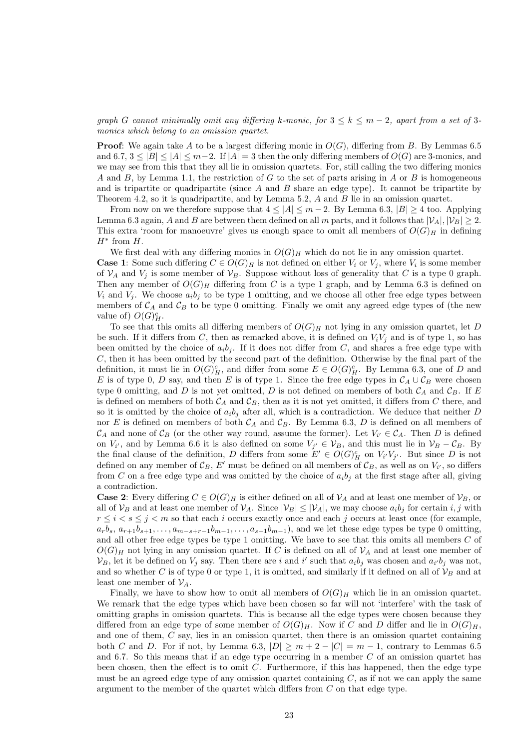graph G cannot minimally omit any differing k-monic, for  $3 \leq k \leq m-2$ , apart from a set of 3monics which belong to an omission quartet.

**Proof:** We again take A to be a largest differing monic in  $O(G)$ , differing from B. By Lemmas 6.5 and 6.7,  $3 \leq |B| \leq |A| \leq m-2$ . If  $|A| = 3$  then the only differing members of  $O(G)$  are 3-monics, and we may see from this that they all lie in omission quartets. For, still calling the two differing monics A and B, by Lemma 1.1, the restriction of G to the set of parts arising in A or B is homogeneous and is tripartite or quadripartite (since  $A$  and  $B$  share an edge type). It cannot be tripartite by Theorem 4.2, so it is quadripartite, and by Lemma 5.2,  $A$  and  $B$  lie in an omission quartet.

From now on we therefore suppose that  $4 \leq |A| \leq m-2$ . By Lemma 6.3,  $|B| \geq 4$  too. Applying Lemma 6.3 again, A and B are between them defined on all m parts, and it follows that  $|\mathcal{V}_A|, |\mathcal{V}_B| \geq 2$ . This extra 'room for manoeuvre' gives us enough space to omit all members of  $O(G)_H$  in defining  $H^*$  from  $H$ .

We first deal with any differing monics in  $O(G)_H$  which do not lie in any omission quartet. **Case 1**: Some such differing  $C \in O(G)_H$  is not defined on either  $V_i$  or  $V_j$ , where  $V_i$  is some member of  $V_A$  and  $V_j$  is some member of  $V_B$ . Suppose without loss of generality that C is a type 0 graph. Then any member of  $O(G)_H$  differing from C is a type 1 graph, and by Lemma 6.3 is defined on  $V_i$  and  $V_j$ . We choose  $a_i b_j$  to be type 1 omitting, and we choose all other free edge types between members of  $C_A$  and  $C_B$  to be type 0 omitting. Finally we omit any agreed edge types of (the new value of)  $O(G)<sub>H</sub><sup>c</sup>$ .

To see that this omits all differing members of  $O(G)_H$  not lying in any omission quartet, let D be such. If it differs from C, then as remarked above, it is defined on  $V_iV_j$  and is of type 1, so has been omitted by the choice of  $a_i b_j$ . If it does not differ from C, and shares a free edge type with C, then it has been omitted by the second part of the definition. Otherwise by the final part of the definition, it must lie in  $O(G)_H^c$ , and differ from some  $E \in O(G)_H^c$ . By Lemma 6.3, one of D and E is of type 0, D say, and then E is of type 1. Since the free edge types in  $\mathcal{C}_A \cup \mathcal{C}_B$  were chosen type 0 omitting, and D is not yet omitted, D is not defined on members of both  $C_A$  and  $C_B$ . If E is defined on members of both  $\mathcal{C}_A$  and  $\mathcal{C}_B$ , then as it is not yet omitted, it differs from C there, and so it is omitted by the choice of  $a_i b_j$  after all, which is a contradiction. We deduce that neither D nor E is defined on members of both  $C_A$  and  $C_B$ . By Lemma 6.3, D is defined on all members of  $\mathcal{C}_A$  and none of  $\mathcal{C}_B$  (or the other way round, assume the former). Let  $V_{i'} \in \mathcal{C}_A$ . Then D is defined on  $V_{i'}$ , and by Lemma 6.6 it is also defined on some  $V_{j'} \in V_B$ , and this must lie in  $V_B - C_B$ . By the final clause of the definition, D differs from some  $E' \in O(G)_H^c$  on  $V_{i'}V_{j'}$ . But since D is not defined on any member of  $\mathcal{C}_B$ , E' must be defined on all members of  $\mathcal{C}_B$ , as well as on  $V_{i'}$ , so differs from C on a free edge type and was omitted by the choice of  $a_i b_j$  at the first stage after all, giving a contradiction.

**Case 2:** Every differing  $C \in O(G)_H$  is either defined on all of  $V_A$  and at least one member of  $V_B$ , or all of  $\mathcal{V}_B$  and at least one member of  $\mathcal{V}_A$ . Since  $|\mathcal{V}_B| \leq |\mathcal{V}_A|$ , we may choose  $a_i b_j$  for certain i, j with  $r \leq i < s \leq j < m$  so that each i occurs exactly once and each j occurs at least once (for example,  $a_r b_s$ ,  $a_{r+1} b_{s+1}, \ldots, a_{m-s+r-1} b_{m-1}, \ldots, a_{s-1} b_{m-1}$ , and we let these edge types be type 0 omitting, and all other free edge types be type 1 omitting. We have to see that this omits all members  $C$  of  $O(G)_H$  not lying in any omission quartet. If C is defined on all of  $\mathcal{V}_A$  and at least one member of  $\mathcal{V}_B$ , let it be defined on  $V_j$  say. Then there are i and i' such that  $a_i b_j$  was chosen and  $a_{i'}b_j$  was not, and so whether C is of type 0 or type 1, it is omitted, and similarly if it defined on all of  $\mathcal{V}_B$  and at least one member of  $V_4$ .

Finally, we have to show how to omit all members of  $O(G)_H$  which lie in an omission quartet. We remark that the edge types which have been chosen so far will not 'interfere' with the task of omitting graphs in omission quartets. This is because all the edge types were chosen because they differed from an edge type of some member of  $O(G)_H$ . Now if C and D differ and lie in  $O(G)_H$ , and one of them,  $C$  say, lies in an omission quartet, then there is an omission quartet containing both C and D. For if not, by Lemma 6.3,  $|D| \ge m+2 - |C| = m-1$ , contrary to Lemmas 6.5 and 6.7. So this means that if an edge type occurring in a member  $C$  of an omission quartet has been chosen, then the effect is to omit  $C$ . Furthermore, if this has happened, then the edge type must be an agreed edge type of any omission quartet containing  $C$ , as if not we can apply the same argument to the member of the quartet which differs from  $C$  on that edge type.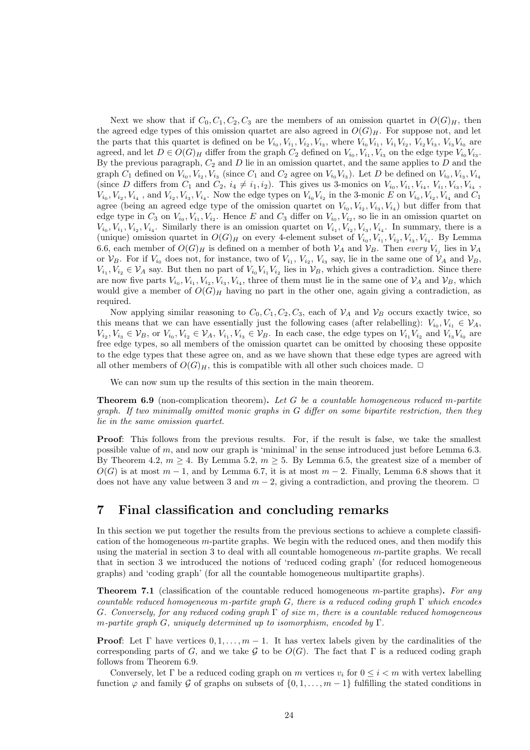Next we show that if  $C_0, C_1, C_2, C_3$  are the members of an omission quartet in  $O(G)_H$ , then the agreed edge types of this omission quartet are also agreed in  $O(G)_H$ . For suppose not, and let the parts that this quartet is defined on be  $V_{i_0}, V_{i_1}, V_{i_2}, V_{i_3}$ , where  $V_{i_0}V_{i_1}, V_{i_1}V_{i_2}, V_{i_2}V_{i_3}, V_{i_3}V_{i_0}$  are agreed, and let  $D \in O(G)_H$  differ from the graph  $C_2$  defined on  $V_{i_0}, V_{i_1}, V_{i_3}$  on the edge type  $V_{i_0}V_{i_3}$ . By the previous paragraph,  $C_2$  and  $D$  lie in an omission quartet, and the same applies to  $D$  and the graph  $C_1$  defined on  $V_{i_0}, V_{i_2}, V_{i_3}$  (since  $C_1$  and  $C_2$  agree on  $V_{i_0}V_{i_3}$ ). Let D be defined on  $V_{i_0}, V_{i_3}, V_{i_4}$ (since D differs from  $C_1$  and  $C_2$ ,  $i_4 \neq i_1, i_2$ ). This gives us 3-monics on  $V_{i_0}, V_{i_1}, V_{i_4}, V_{i_1}, V_{i_3}, V_{i_4}$ ,  $V_{i_0}, V_{i_2}, V_{i_4}$ , and  $V_{i_2}, V_{i_3}, V_{i_4}$ . Now the edge types on  $V_{i_0}V_{i_2}$  in the 3-monic E on  $V_{i_0}, V_{i_2}, V_{i_4}$  and  $C_1$ agree (being an agreed edge type of the omission quartet on  $V_{i_0}, V_{i_2}, V_{i_3}, V_{i_4}$ ) but differ from that edge type in  $C_3$  on  $V_{i_0}, V_{i_1}, V_{i_2}$ . Hence E and  $C_3$  differ on  $V_{i_0}, V_{i_2}$ , so lie in an omission quartet on  $V_{i_0}, V_{i_1}, V_{i_2}, V_{i_4}$ . Similarly there is an omission quartet on  $V_{i_1}, V_{i_2}, V_{i_3}, V_{i_4}$ . In summary, there is a (unique) omission quartet in  $O(G)_H$  on every 4-element subset of  $V_{i_0}, V_{i_1}, V_{i_2}, V_{i_3}, V_{i_4}$ . By Lemma 6.6, each member of  $O(G)_H$  is defined on a member of both  $V_A$  and  $V_B$ . Then every  $V_{i_j}$  lies in  $V_A$ or  $\mathcal{V}_B$ . For if  $V_{i_0}$  does not, for instance, two of  $V_{i_1}, V_{i_2}, V_{i_3}$  say, lie in the same one of  $\mathcal{V}_A$  and  $\mathcal{V}_B$ ,  $V_{i_1}, V_{i_2} \in \mathcal{V}_A$  say. But then no part of  $V_{i_0}V_{i_1}V_{i_2}$  lies in  $\mathcal{V}_B$ , which gives a contradiction. Since there are now five parts  $V_{i_0}, V_{i_1}, V_{i_2}, V_{i_3}, V_{i_4}$ , three of them must lie in the same one of  $V_A$  and  $V_B$ , which would give a member of  $O(G)_H$  having no part in the other one, again giving a contradiction, as required.

Now applying similar reasoning to  $C_0, C_1, C_2, C_3$ , each of  $V_A$  and  $V_B$  occurs exactly twice, so this means that we can have essentially just the following cases (after relabelling):  $V_{i_0}, V_{i_1} \in V_A$ ,  $V_{i_2}, V_{i_3} \in V_B$ , or  $V_{i_0}, V_{i_2} \in V_A$ ,  $V_{i_1}, V_{i_3} \in V_B$ . In each case, the edge types on  $V_{i_1}V_{i_2}$  and  $V_{i_3}V_{i_0}$  are free edge types, so all members of the omission quartet can be omitted by choosing these opposite to the edge types that these agree on, and as we have shown that these edge types are agreed with all other members of  $O(G)_H$ , this is compatible with all other such choices made.  $\Box$ 

We can now sum up the results of this section in the main theorem.

**Theorem 6.9** (non-complication theorem). Let G be a countable homogeneous reduced m-partite graph. If two minimally omitted monic graphs in  $G$  differ on some bipartite restriction, then they lie in the same omission quartet.

Proof: This follows from the previous results. For, if the result is false, we take the smallest possible value of m, and now our graph is 'minimal' in the sense introduced just before Lemma 6.3. By Theorem 4.2,  $m \geq 4$ . By Lemma 5.2,  $m \geq 5$ . By Lemma 6.5, the greatest size of a member of  $O(G)$  is at most  $m-1$ , and by Lemma 6.7, it is at most  $m-2$ . Finally, Lemma 6.8 shows that it does not have any value between 3 and  $m-2$ , giving a contradiction, and proving the theorem.  $\Box$ 

## 7 Final classification and concluding remarks

In this section we put together the results from the previous sections to achieve a complete classification of the homogeneous  $m$ -partite graphs. We begin with the reduced ones, and then modify this using the material in section  $3$  to deal with all countable homogeneous  $m$ -partite graphs. We recall that in section 3 we introduced the notions of 'reduced coding graph' (for reduced homogeneous graphs) and 'coding graph' (for all the countable homogeneous multipartite graphs).

**Theorem 7.1** (classification of the countable reduced homogeneous m-partite graphs). For any countable reduced homogeneous m-partite graph G, there is a reduced coding graph  $\Gamma$  which encodes G. Conversely, for any reduced coding graph  $\Gamma$  of size m, there is a countable reduced homogeneous m-partite graph G, uniquely determined up to isomorphism, encoded by  $\Gamma$ .

**Proof:** Let  $\Gamma$  have vertices  $0, 1, \ldots, m - 1$ . It has vertex labels given by the cardinalities of the corresponding parts of G, and we take G to be  $O(G)$ . The fact that  $\Gamma$  is a reduced coding graph follows from Theorem 6.9.

Conversely, let Γ be a reduced coding graph on m vertices  $v_i$  for  $0 \le i \le m$  with vertex labelling function  $\varphi$  and family G of graphs on subsets of  $\{0, 1, \ldots, m-1\}$  fulfilling the stated conditions in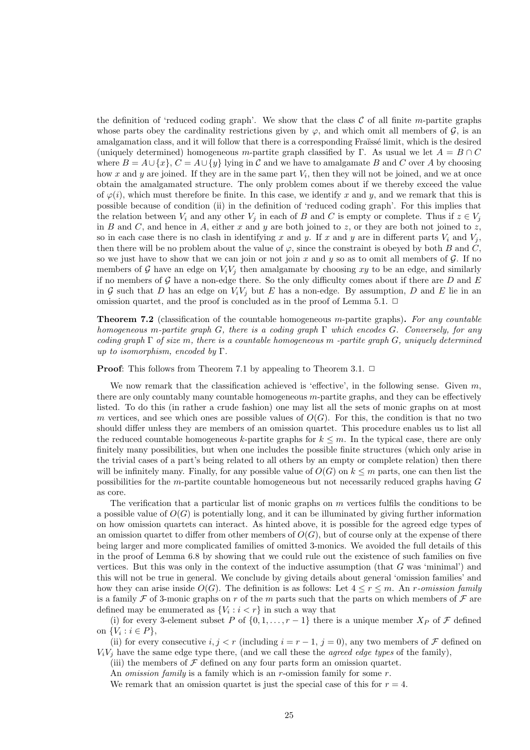the definition of 'reduced coding graph'. We show that the class  $\mathcal C$  of all finite m-partite graphs whose parts obey the cardinality restrictions given by  $\varphi$ , and which omit all members of  $\mathcal{G}$ , is an amalgamation class, and it will follow that there is a corresponding Fraïssé limit, which is the desired (uniquely determined) homogeneous m-partite graph classified by Γ. As usual we let  $A = B \cap C$ where  $B = A \cup \{x\}$ ,  $C = A \cup \{y\}$  lying in C and we have to amalgamate B and C over A by choosing how x and y are joined. If they are in the same part  $V_i$ , then they will not be joined, and we at once obtain the amalgamated structure. The only problem comes about if we thereby exceed the value of  $\varphi(i)$ , which must therefore be finite. In this case, we identify x and y, and we remark that this is possible because of condition (ii) in the definition of 'reduced coding graph'. For this implies that the relation between  $V_i$  and any other  $V_j$  in each of B and C is empty or complete. Thus if  $z \in V_j$ in B and C, and hence in A, either x and y are both joined to z, or they are both not joined to z, so in each case there is no clash in identifying x and y. If x and y are in different parts  $V_i$  and  $V_j$ , then there will be no problem about the value of  $\varphi$ , since the constraint is obeyed by both B and C, so we just have to show that we can join or not join  $x$  and  $y$  so as to omit all members of  $\mathcal G$ . If no members of G have an edge on  $V_iV_j$  then amalgamate by choosing xy to be an edge, and similarly if no members of  $\mathcal G$  have a non-edge there. So the only difficulty comes about if there are  $D$  and  $E$ in G such that D has an edge on  $V_iV_j$  but E has a non-edge. By assumption, D and E lie in an omission quartet, and the proof is concluded as in the proof of Lemma 5.1.  $\Box$ 

**Theorem 7.2** (classification of the countable homogeneous m-partite graphs). For any countable homogeneous m-partite graph G, there is a coding graph  $\Gamma$  which encodes G. Conversely, for any coding graph  $\Gamma$  of size m, there is a countable homogeneous m-partite graph G, uniquely determined up to isomorphism, encoded by  $\Gamma$ .

**Proof:** This follows from Theorem 7.1 by appealing to Theorem 3.1.  $\Box$ 

We now remark that the classification achieved is 'effective', in the following sense. Given  $m$ , there are only countably many countable homogeneous m-partite graphs, and they can be effectively listed. To do this (in rather a crude fashion) one may list all the sets of monic graphs on at most m vertices, and see which ones are possible values of  $O(G)$ . For this, the condition is that no two should differ unless they are members of an omission quartet. This procedure enables us to list all the reduced countable homogeneous k-partite graphs for  $k \leq m$ . In the typical case, there are only finitely many possibilities, but when one includes the possible finite structures (which only arise in the trivial cases of a part's being related to all others by an empty or complete relation) then there will be infinitely many. Finally, for any possible value of  $O(G)$  on  $k \leq m$  parts, one can then list the possibilities for the m-partite countable homogeneous but not necessarily reduced graphs having G as core.

The verification that a particular list of monic graphs on  $m$  vertices fulfils the conditions to be a possible value of  $O(G)$  is potentially long, and it can be illuminated by giving further information on how omission quartets can interact. As hinted above, it is possible for the agreed edge types of an omission quartet to differ from other members of  $O(G)$ , but of course only at the expense of there being larger and more complicated families of omitted 3-monics. We avoided the full details of this in the proof of Lemma 6.8 by showing that we could rule out the existence of such families on five vertices. But this was only in the context of the inductive assumption (that  $G$  was 'minimal') and this will not be true in general. We conclude by giving details about general 'omission families' and how they can arise inside  $O(G)$ . The definition is as follows: Let  $4 \leq r \leq m$ . An *r*-omission family is a family F of 3-monic graphs on r of the m parts such that the parts on which members of  $\mathcal F$  are defined may be enumerated as  $\{V_i : i < r\}$  in such a way that

(i) for every 3-element subset P of  $\{0, 1, \ldots, r - 1\}$  there is a unique member  $X_P$  of F defined on  $\{V_i : i \in P\},\$ 

(ii) for every consecutive  $i, j < r$  (including  $i = r - 1, j = 0$ ), any two members of  $\mathcal F$  defined on  $V_iV_j$  have the same edge type there, (and we call these the *agreed edge types* of the family),

(iii) the members of  $\mathcal F$  defined on any four parts form an omission quartet.

An *omission family* is a family which is an *r*-omission family for some  $r$ .

We remark that an omission quartet is just the special case of this for  $r = 4$ .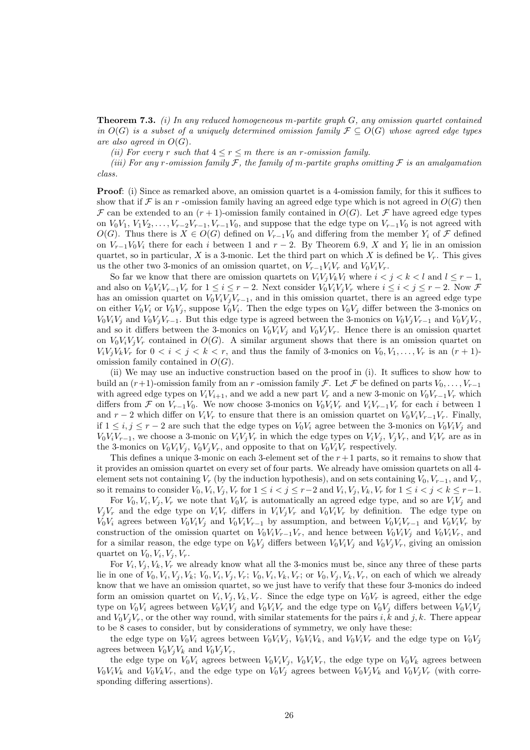**Theorem 7.3.** (i) In any reduced homogeneous m-partite graph  $G$ , any omission quartet contained in  $O(G)$  is a subset of a uniquely determined omission family  $\mathcal{F} \subseteq O(G)$  whose agreed edge types are also agreed in  $O(G)$ .

(ii) For every r such that  $4 \le r \le m$  there is an r-omission family.

(iii) For any r-omission family  $\mathcal F$ , the family of m-partite graphs omitting  $\mathcal F$  is an amalgamation class.

**Proof:** (i) Since as remarked above, an omission quartet is a 4-omission family, for this it suffices to show that if F is an r -omission family having an agreed edge type which is not agreed in  $O(G)$  then  $\mathcal F$  can be extended to an  $(r+1)$ -omission family contained in  $O(G)$ . Let  $\mathcal F$  have agreed edge types on  $V_0V_1, V_1V_2, \ldots, V_{r-2}V_{r-1}, V_{r-1}V_0$ , and suppose that the edge type on  $V_{r-1}V_0$  is not agreed with  $O(G)$ . Thus there is  $X \in O(G)$  defined on  $V_{r-1}V_0$  and differing from the member  $Y_i$  of  $\mathcal F$  defined on  $V_{r-1}V_0V_i$  there for each i between 1 and  $r-2$ . By Theorem 6.9, X and  $Y_i$  lie in an omission quartet, so in particular, X is a 3-monic. Let the third part on which X is defined be  $V_r$ . This gives us the other two 3-monics of an omission quartet, on  $V_{r-1}V_iV_r$  and  $V_0V_iV_r$ .

So far we know that there are omission quartets on  $V_iV_iV_kV_l$  where  $i < j < k < l$  and  $l \leq r-1$ , and also on  $V_0V_iV_{r-1}V_r$  for  $1 \le i \le r-2$ . Next consider  $V_0V_iV_iV_r$  where  $i \le i \le j \le r-2$ . Now  $\mathcal F$ has an omission quartet on  $V_0V_iV_jV_{r-1}$ , and in this omission quartet, there is an agreed edge type on either  $V_0V_i$  or  $V_0V_j$ , suppose  $V_0V_i$ . Then the edge types on  $V_0V_j$  differ between the 3-monics on  $V_0V_iV_i$  and  $V_0V_iV_{r-1}$ . But this edge type is agreed between the 3-monics on  $V_0V_iV_{r-1}$  and  $V_0V_iV_r$ , and so it differs between the 3-monics on  $V_0V_iV_j$  and  $V_0V_jV_r$ . Hence there is an omission quartet on  $V_0V_iV_jV_r$  contained in  $O(G)$ . A similar argument shows that there is an omission quartet on  $V_iV_jV_kV_r$  for  $0 < i < j < k < r$ , and thus the family of 3-monics on  $V_0, V_1, \ldots, V_r$  is an  $(r+1)$ omission family contained in  $O(G)$ .

(ii) We may use an inductive construction based on the proof in (i). It suffices to show how to build an  $(r+1)$ -omission family from an r -omission family  $\mathcal F$ . Let  $\mathcal F$  be defined on parts  $V_0, \ldots, V_{r-1}$ with agreed edge types on  $V_iV_{i+1}$ , and we add a new part  $V_r$  and a new 3-monic on  $V_0V_{r-1}V_r$  which differs from F on  $V_{r-1}V_0$ . We now choose 3-monics on  $V_0V_iV_r$  and  $V_iV_{r-1}V_r$  for each i between 1 and  $r-2$  which differ on  $V_iV_r$  to ensure that there is an omission quartet on  $V_0V_iV_{r-1}V_r$ . Finally, if  $1 \le i, j \le r - 2$  are such that the edge types on  $V_0V_i$  agree between the 3-monics on  $V_0V_iV_j$  and  $V_0V_iV_{r-1}$ , we choose a 3-monic on  $V_iV_iV_r$  in which the edge types on  $V_iV_i$ ,  $V_iV_r$ , and  $V_iV_r$  are as in the 3-monics on  $V_0V_iV_j$ ,  $V_0V_jV_r$ , and opposite to that on  $V_0V_iV_r$  respectively.

This defines a unique 3-monic on each 3-element set of the  $r+1$  parts, so it remains to show that it provides an omission quartet on every set of four parts. We already have omission quartets on all 4 element sets not containing  $V_r$  (by the induction hypothesis), and on sets containing  $V_0, V_{r-1}$ , and  $V_r$ , so it remains to consider  $V_0, V_i, V_j, V_r$  for  $1 \leq i < j \leq r-2$  and  $V_i, V_j, V_k, V_r$  for  $1 \leq i < j < k \leq r-1$ .

For  $V_0, V_i, V_j, V_r$  we note that  $V_0V_r$  is automatically an agreed edge type, and so are  $V_iV_j$  and  $V_iV_r$  and the edge type on  $V_iV_r$  differs in  $V_iV_iV_r$  and  $V_0V_iV_r$  by definition. The edge type on  $V_0V_i$  agrees between  $V_0V_iV_i$  and  $V_0V_iV_{r-1}$  by assumption, and between  $V_0V_iV_{r-1}$  and  $V_0V_iV_r$  by construction of the omission quartet on  $V_0V_iV_{r-1}V_r$ , and hence between  $V_0V_iV_j$  and  $V_0V_iV_r$ , and for a similar reason, the edge type on  $V_0V_i$  differs between  $V_0V_iV_j$  and  $V_0V_jV_r$ , giving an omission quartet on  $V_0, V_i, V_j, V_r$ .

For  $V_i$ ,  $V_j$ ,  $V_k$ ,  $V_r$  we already know what all the 3-monics must be, since any three of these parts lie in one of  $V_0, V_i, V_j, V_k; V_0, V_i, V_j, V_r; V_0, V_i, V_k, V_r;$  or  $V_0, V_j, V_k, V_r$ , on each of which we already know that we have an omission quartet, so we just have to verify that these four 3-monics do indeed form an omission quartet on  $V_i, V_j, V_k, V_r$ . Since the edge type on  $V_0V_r$  is agreed, either the edge type on  $V_0V_i$  agrees between  $V_0V_iV_j$  and  $V_0V_iV_r$  and the edge type on  $V_0V_j$  differs between  $V_0V_iV_j$ and  $V_0V_jV_r$ , or the other way round, with similar statements for the pairs i, k and j, k. There appear to be 8 cases to consider, but by considerations of symmetry, we only have these:

the edge type on  $V_0V_i$  agrees between  $V_0V_iV_i$ ,  $V_0V_iV_k$ , and  $V_0V_iV_r$  and the edge type on  $V_0V_i$ agrees between  $V_0V_iV_k$  and  $V_0V_iV_r$ ,

the edge type on  $V_0V_i$  agrees between  $V_0V_iV_j$ ,  $V_0V_iV_r$ , the edge type on  $V_0V_k$  agrees between  $V_0V_iV_k$  and  $V_0V_kV_r$ , and the edge type on  $V_0V_j$  agrees between  $V_0V_jV_k$  and  $V_0V_jV_r$  (with corresponding differing assertions).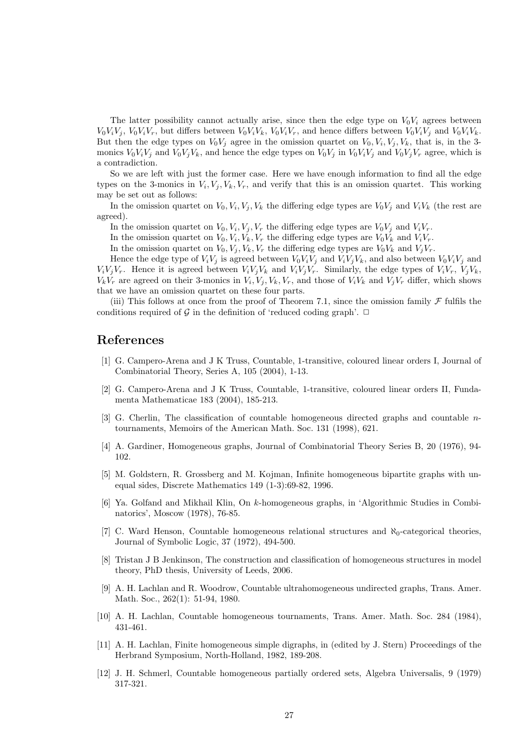The latter possibility cannot actually arise, since then the edge type on  $V_0V_i$  agrees between  $V_0V_iV_j$ ,  $V_0V_iV_r$ , but differs between  $V_0V_iV_k$ ,  $V_0V_iV_r$ , and hence differs between  $V_0V_iV_j$  and  $V_0V_iV_k$ . But then the edge types on  $V_0V_j$  agree in the omission quartet on  $V_0, V_i, V_j, V_k$ , that is, in the 3monics  $V_0V_iV_j$  and  $V_0V_jV_k$ , and hence the edge types on  $V_0V_j$  in  $V_0V_iV_j$  and  $V_0V_jV_r$  agree, which is a contradiction.

So we are left with just the former case. Here we have enough information to find all the edge types on the 3-monics in  $V_i, V_j, V_k, V_r$ , and verify that this is an omission quartet. This working may be set out as follows:

In the omission quartet on  $V_0, V_i, V_j, V_k$  the differing edge types are  $V_0V_j$  and  $V_iV_k$  (the rest are agreed).

In the omission quartet on  $V_0, V_i, V_j, V_r$  the differing edge types are  $V_0V_j$  and  $V_iV_r$ .

In the omission quartet on  $V_0, V_i, V_k, V_r$  the differing edge types are  $V_0V_k$  and  $V_iV_r$ .

In the omission quartet on  $V_0, V_i, V_k, V_r$  the differing edge types are  $V_0V_k$  and  $V_jV_r$ .

Hence the edge type of  $V_iV_j$  is agreed between  $V_0V_iV_j$  and  $V_iV_jV_k$ , and also between  $V_0V_iV_j$  and  $V_iV_jV_r$ . Hence it is agreed between  $V_iV_jV_k$  and  $V_iV_jV_r$ . Similarly, the edge types of  $V_iV_r$ ,  $V_jV_k$ ,  $V_kV_r$  are agreed on their 3-monics in  $V_i, V_j, V_k, V_r$ , and those of  $V_iV_k$  and  $V_jV_r$  differ, which shows that we have an omission quartet on these four parts.

(iii) This follows at once from the proof of Theorem 7.1, since the omission family  $\mathcal F$  fulfils the conditions required of  $\mathcal G$  in the definition of 'reduced coding graph'.  $\Box$ 

### References

- [1] G. Campero-Arena and J K Truss, Countable, 1-transitive, coloured linear orders I, Journal of Combinatorial Theory, Series A, 105 (2004), 1-13.
- [2] G. Campero-Arena and J K Truss, Countable, 1-transitive, coloured linear orders II, Fundamenta Mathematicae 183 (2004), 185-213.
- [3] G. Cherlin, The classification of countable homogeneous directed graphs and countable  $n$ tournaments, Memoirs of the American Math. Soc. 131 (1998), 621.
- [4] A. Gardiner, Homogeneous graphs, Journal of Combinatorial Theory Series B, 20 (1976), 94- 102.
- [5] M. Goldstern, R. Grossberg and M. Kojman, Infinite homogeneous bipartite graphs with unequal sides, Discrete Mathematics 149 (1-3):69-82, 1996.
- [6] Ya. Golfand and Mikhail Klin, On k-homogeneous graphs, in 'Algorithmic Studies in Combinatorics', Moscow (1978), 76-85.
- [7] C. Ward Henson, Countable homogeneous relational structures and  $\aleph_0$ -categorical theories, Journal of Symbolic Logic, 37 (1972), 494-500.
- [8] Tristan J B Jenkinson, The construction and classification of homogeneous structures in model theory, PhD thesis, University of Leeds, 2006.
- [9] A. H. Lachlan and R. Woodrow, Countable ultrahomogeneous undirected graphs, Trans. Amer. Math. Soc., 262(1): 51-94, 1980.
- [10] A. H. Lachlan, Countable homogeneous tournaments, Trans. Amer. Math. Soc. 284 (1984), 431-461.
- [11] A. H. Lachlan, Finite homogeneous simple digraphs, in (edited by J. Stern) Proceedings of the Herbrand Symposium, North-Holland, 1982, 189-208.
- [12] J. H. Schmerl, Countable homogeneous partially ordered sets, Algebra Universalis, 9 (1979) 317-321.